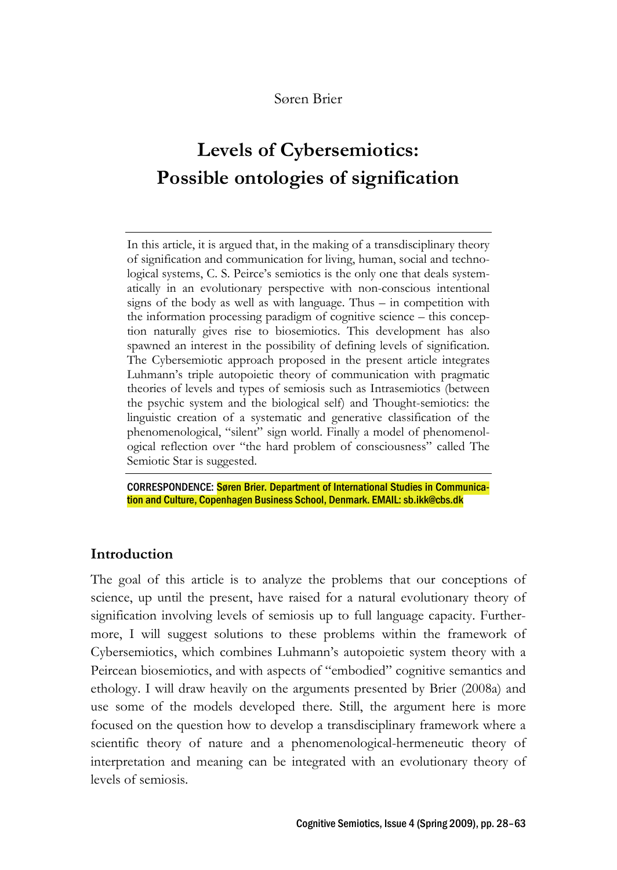Søren Brier

# **Levels of Cybersemiotics: Possible ontologies of signification**

In this article, it is argued that, in the making of a transdisciplinary theory of signification and communication for living, human, social and technological systems, C. S. Peirce's semiotics is the only one that deals systematically in an evolutionary perspective with non-conscious intentional signs of the body as well as with language. Thus – in competition with the information processing paradigm of cognitive science – this conception naturally gives rise to biosemiotics. This development has also spawned an interest in the possibility of defining levels of signification. The Cybersemiotic approach proposed in the present article integrates Luhmann's triple autopoietic theory of communication with pragmatic theories of levels and types of semiosis such as Intrasemiotics (between the psychic system and the biological self) and Thought-semiotics: the linguistic creation of a systematic and generative classification of the phenomenological, "silent" sign world. Finally a model of phenomenological reflection over "the hard problem of consciousness" called The Semiotic Star is suggested.

CORRESPONDENCE: Søren Brier. Department of International Studies in Communication and Culture, Copenhagen Business School, Denmark. EMAIL: sb.ikk@cbs.dk

#### **Introduction**

The goal of this article is to analyze the problems that our conceptions of science, up until the present, have raised for a natural evolutionary theory of signification involving levels of semiosis up to full language capacity. Furthermore, I will suggest solutions to these problems within the framework of Cybersemiotics, which combines Luhmann's autopoietic system theory with a Peircean biosemiotics, and with aspects of "embodied" cognitive semantics and ethology. I will draw heavily on the arguments presented by Brier (2008a) and use some of the models developed there. Still, the argument here is more focused on the question how to develop a transdisciplinary framework where a scientific theory of nature and a phenomenological-hermeneutic theory of interpretation and meaning can be integrated with an evolutionary theory of levels of semiosis.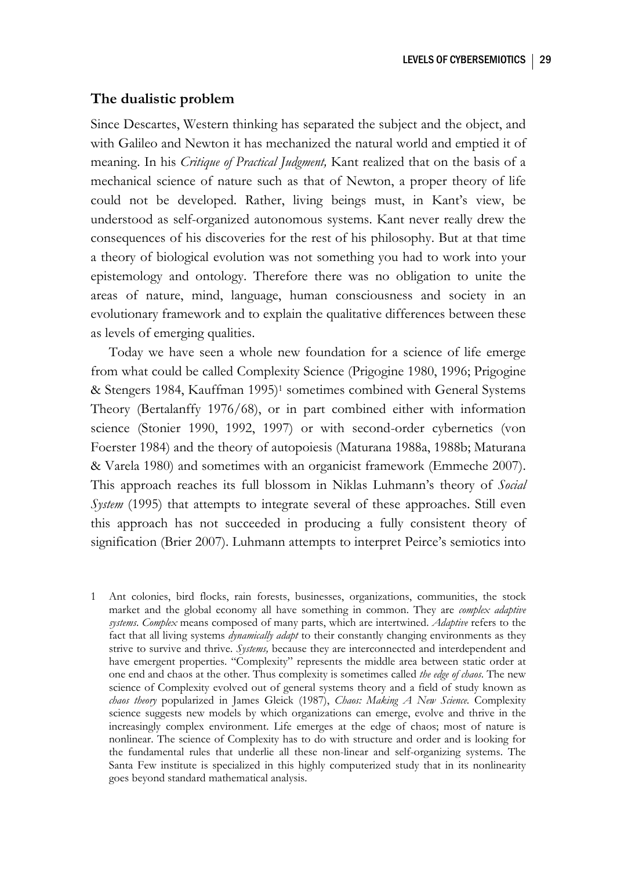#### **The dualistic problem**

Since Descartes, Western thinking has separated the subject and the object, and with Galileo and Newton it has mechanized the natural world and emptied it of meaning. In his *Critique of Practical Judgment,* Kant realized that on the basis of a mechanical science of nature such as that of Newton, a proper theory of life could not be developed. Rather, living beings must, in Kant's view, be understood as self-organized autonomous systems. Kant never really drew the consequences of his discoveries for the rest of his philosophy. But at that time a theory of biological evolution was not something you had to work into your epistemology and ontology. Therefore there was no obligation to unite the areas of nature, mind, language, human consciousness and society in an evolutionary framework and to explain the qualitative differences between these as levels of emerging qualities.

Today we have seen a whole new foundation for a science of life emerge from what could be called Complexity Science (Prigogine 1980, 1996; Prigogine & Stengers 1984, Kauffman 1995)<sup>1</sup> sometimes combined with General Systems Theory (Bertalanffy 1976/68), or in part combined either with information science (Stonier 1990, 1992, 1997) or with second-order cybernetics (von Foerster 1984) and the theory of autopoiesis (Maturana 1988a, 1988b; Maturana & Varela 1980) and sometimes with an organicist framework (Emmeche 2007). This approach reaches its full blossom in Niklas Luhmann's theory of *Social System* (1995) that attempts to integrate several of these approaches. Still even this approach has not succeeded in producing a fully consistent theory of signification (Brier 2007). Luhmann attempts to interpret Peirce's semiotics into

1 Ant colonies, bird flocks, rain forests, businesses, organizations, communities, the stock market and the global economy all have something in common. They are *complex adaptive systems*. *Complex* means composed of many parts, which are intertwined. *Adaptive* refers to the fact that all living systems *dynamically adapt* to their constantly changing environments as they strive to survive and thrive. *Systems,* because they are interconnected and interdependent and have emergent properties. "Complexity" represents the middle area between static order at one end and chaos at the other. Thus complexity is sometimes called *the edge of chaos*. The new science of Complexity evolved out of general systems theory and a field of study known as *chaos theory* popularized in James Gleick (1987), *Chaos: Making A New Science*. Complexity science suggests new models by which organizations can emerge, evolve and thrive in the increasingly complex environment. Life emerges at the edge of chaos; most of nature is nonlinear. The science of Complexity has to do with structure and order and is looking for the fundamental rules that underlie all these non-linear and self-organizing systems. The Santa Few institute is specialized in this highly computerized study that in its nonlinearity goes beyond standard mathematical analysis.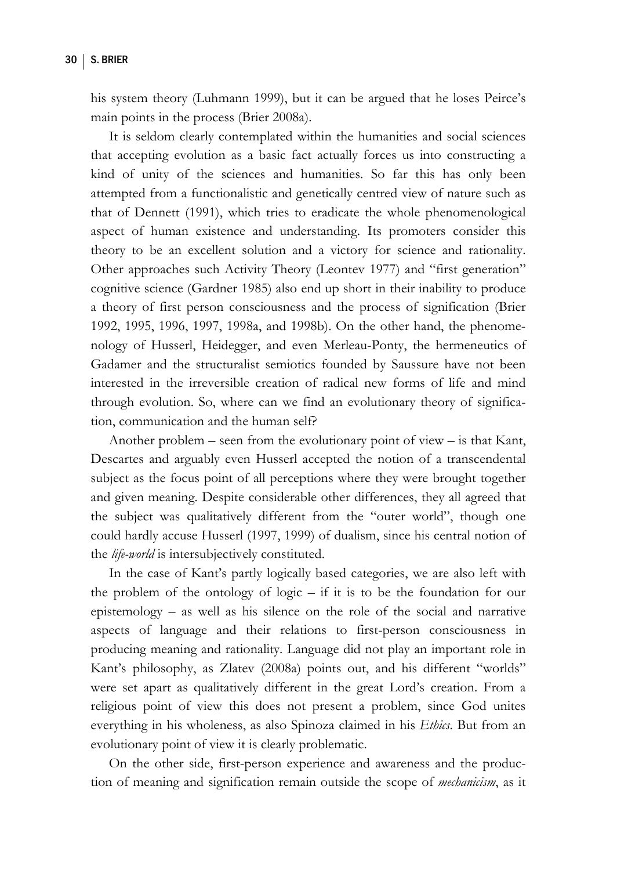his system theory (Luhmann 1999), but it can be argued that he loses Peirce's main points in the process (Brier 2008a).

It is seldom clearly contemplated within the humanities and social sciences that accepting evolution as a basic fact actually forces us into constructing a kind of unity of the sciences and humanities. So far this has only been attempted from a functionalistic and genetically centred view of nature such as that of Dennett (1991), which tries to eradicate the whole phenomenological aspect of human existence and understanding. Its promoters consider this theory to be an excellent solution and a victory for science and rationality. Other approaches such Activity Theory (Leontev 1977) and "first generation" cognitive science (Gardner 1985) also end up short in their inability to produce a theory of first person consciousness and the process of signification (Brier 1992, 1995, 1996, 1997, 1998a, and 1998b). On the other hand, the phenomenology of Husserl, Heidegger, and even Merleau-Ponty, the hermeneutics of Gadamer and the structuralist semiotics founded by Saussure have not been interested in the irreversible creation of radical new forms of life and mind through evolution. So, where can we find an evolutionary theory of signification, communication and the human self?

Another problem – seen from the evolutionary point of view – is that Kant, Descartes and arguably even Husserl accepted the notion of a transcendental subject as the focus point of all perceptions where they were brought together and given meaning. Despite considerable other differences, they all agreed that the subject was qualitatively different from the "outer world", though one could hardly accuse Husserl (1997, 1999) of dualism, since his central notion of the *life-world* is intersubjectively constituted.

In the case of Kant's partly logically based categories, we are also left with the problem of the ontology of logic – if it is to be the foundation for our epistemology – as well as his silence on the role of the social and narrative aspects of language and their relations to first-person consciousness in producing meaning and rationality. Language did not play an important role in Kant's philosophy, as Zlatev (2008a) points out, and his different "worlds" were set apart as qualitatively different in the great Lord's creation. From a religious point of view this does not present a problem, since God unites everything in his wholeness, as also Spinoza claimed in his *Ethics*. But from an evolutionary point of view it is clearly problematic.

On the other side, first-person experience and awareness and the production of meaning and signification remain outside the scope of *mechanicism*, as it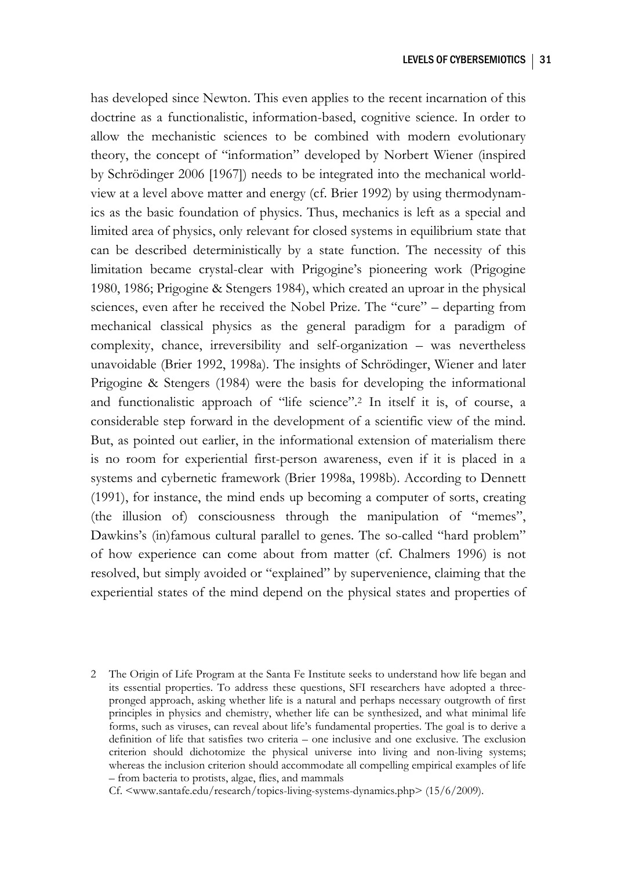has developed since Newton. This even applies to the recent incarnation of this doctrine as a functionalistic, information-based, cognitive science. In order to allow the mechanistic sciences to be combined with modern evolutionary theory, the concept of "information" developed by Norbert Wiener (inspired by Schrödinger 2006 [1967]) needs to be integrated into the mechanical worldview at a level above matter and energy (cf. Brier 1992) by using thermodynamics as the basic foundation of physics. Thus, mechanics is left as a special and limited area of physics, only relevant for closed systems in equilibrium state that can be described deterministically by a state function. The necessity of this limitation became crystal-clear with Prigogine's pioneering work (Prigogine 1980, 1986; Prigogine & Stengers 1984), which created an uproar in the physical sciences, even after he received the Nobel Prize. The "cure" – departing from mechanical classical physics as the general paradigm for a paradigm of complexity, chance, irreversibility and self-organization – was nevertheless unavoidable (Brier 1992, 1998a). The insights of Schrödinger, Wiener and later Prigogine & Stengers (1984) were the basis for developing the informational and functionalistic approach of "life science".2 In itself it is, of course, a considerable step forward in the development of a scientific view of the mind. But, as pointed out earlier, in the informational extension of materialism there is no room for experiential first-person awareness, even if it is placed in a systems and cybernetic framework (Brier 1998a, 1998b). According to Dennett (1991), for instance, the mind ends up becoming a computer of sorts, creating (the illusion of) consciousness through the manipulation of "memes", Dawkins's (in)famous cultural parallel to genes. The so-called "hard problem" of how experience can come about from matter (cf. Chalmers 1996) is not resolved, but simply avoided or "explained" by supervenience, claiming that the experiential states of the mind depend on the physical states and properties of

Cf. <www.santafe.edu/research/topics-living-systems-dynamics.php> (15/6/2009).

<sup>2</sup> The Origin of Life Program at the Santa Fe Institute seeks to understand how life began and its essential properties. To address these questions, SFI researchers have adopted a threepronged approach, asking whether life is a natural and perhaps necessary outgrowth of first principles in physics and chemistry, whether life can be synthesized, and what minimal life forms, such as viruses, can reveal about life's fundamental properties. The goal is to derive a definition of life that satisfies two criteria – one inclusive and one exclusive. The exclusion criterion should dichotomize the physical universe into living and non-living systems; whereas the inclusion criterion should accommodate all compelling empirical examples of life – from bacteria to protists, algae, flies, and mammals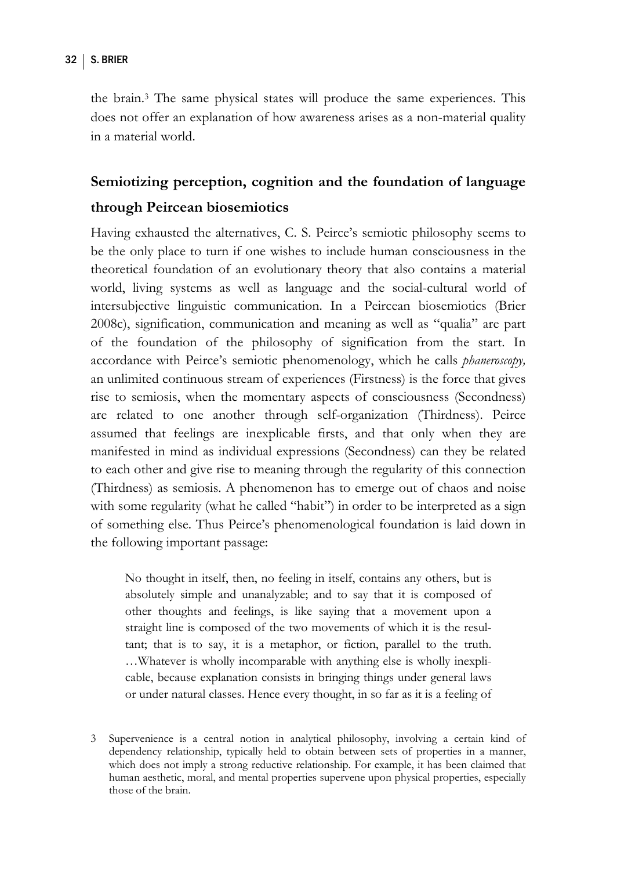the brain.3 The same physical states will produce the same experiences. This does not offer an explanation of how awareness arises as a non-material quality in a material world.

# **Semiotizing perception, cognition and the foundation of language through Peircean biosemiotics**

Having exhausted the alternatives, C. S. Peirce's semiotic philosophy seems to be the only place to turn if one wishes to include human consciousness in the theoretical foundation of an evolutionary theory that also contains a material world, living systems as well as language and the social-cultural world of intersubjective linguistic communication. In a Peircean biosemiotics (Brier 2008c), signification, communication and meaning as well as "qualia" are part of the foundation of the philosophy of signification from the start. In accordance with Peirce's semiotic phenomenology, which he calls *phaneroscopy,*  an unlimited continuous stream of experiences (Firstness) is the force that gives rise to semiosis, when the momentary aspects of consciousness (Secondness) are related to one another through self-organization (Thirdness). Peirce assumed that feelings are inexplicable firsts, and that only when they are manifested in mind as individual expressions (Secondness) can they be related to each other and give rise to meaning through the regularity of this connection (Thirdness) as semiosis. A phenomenon has to emerge out of chaos and noise with some regularity (what he called "habit") in order to be interpreted as a sign of something else. Thus Peirce's phenomenological foundation is laid down in the following important passage:

No thought in itself, then, no feeling in itself, contains any others, but is absolutely simple and unanalyzable; and to say that it is composed of other thoughts and feelings, is like saying that a movement upon a straight line is composed of the two movements of which it is the resultant; that is to say, it is a metaphor, or fiction, parallel to the truth. …Whatever is wholly incomparable with anything else is wholly inexplicable, because explanation consists in bringing things under general laws or under natural classes. Hence every thought, in so far as it is a feeling of

<sup>3</sup> Supervenience is a central notion in analytical philosophy, involving a certain kind of dependency relationship, typically held to obtain between sets of properties in a manner, which does not imply a strong reductive relationship. For example, it has been claimed that human aesthetic, moral, and mental properties supervene upon physical properties, especially those of the brain.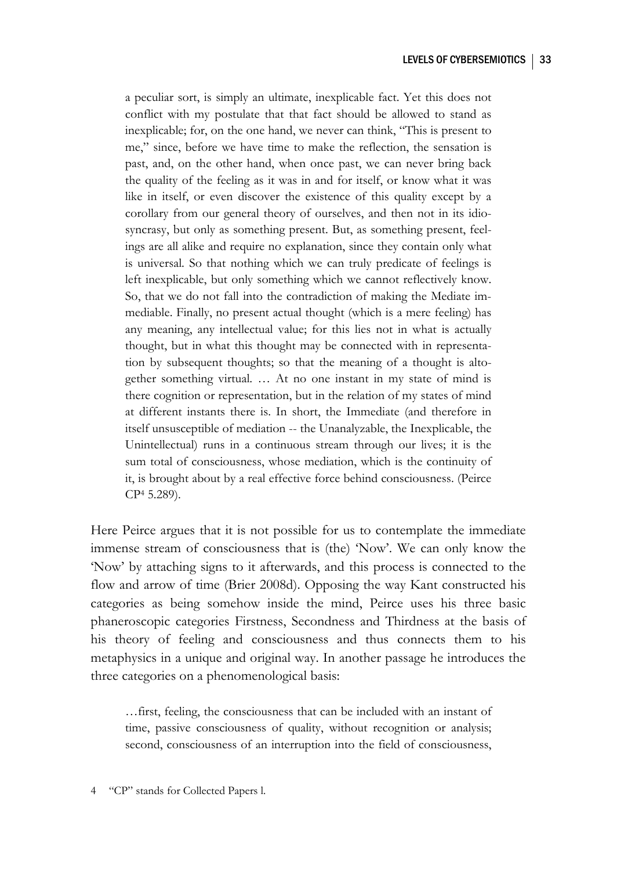a peculiar sort, is simply an ultimate, inexplicable fact. Yet this does not conflict with my postulate that that fact should be allowed to stand as inexplicable; for, on the one hand, we never can think, "This is present to me," since, before we have time to make the reflection, the sensation is past, and, on the other hand, when once past, we can never bring back the quality of the feeling as it was in and for itself, or know what it was like in itself, or even discover the existence of this quality except by a corollary from our general theory of ourselves, and then not in its idiosyncrasy, but only as something present. But, as something present, feelings are all alike and require no explanation, since they contain only what is universal. So that nothing which we can truly predicate of feelings is left inexplicable, but only something which we cannot reflectively know. So, that we do not fall into the contradiction of making the Mediate immediable. Finally, no present actual thought (which is a mere feeling) has any meaning, any intellectual value; for this lies not in what is actually thought, but in what this thought may be connected with in representation by subsequent thoughts; so that the meaning of a thought is altogether something virtual. … At no one instant in my state of mind is there cognition or representation, but in the relation of my states of mind at different instants there is. In short, the Immediate (and therefore in itself unsusceptible of mediation -- the Unanalyzable, the Inexplicable, the Unintellectual) runs in a continuous stream through our lives; it is the sum total of consciousness, whose mediation, which is the continuity of it, is brought about by a real effective force behind consciousness. (Peirce CP4 5.289).

Here Peirce argues that it is not possible for us to contemplate the immediate immense stream of consciousness that is (the) 'Now'. We can only know the 'Now' by attaching signs to it afterwards, and this process is connected to the flow and arrow of time (Brier 2008d). Opposing the way Kant constructed his categories as being somehow inside the mind, Peirce uses his three basic phaneroscopic categories Firstness, Secondness and Thirdness at the basis of his theory of feeling and consciousness and thus connects them to his metaphysics in a unique and original way. In another passage he introduces the three categories on a phenomenological basis:

…first, feeling, the consciousness that can be included with an instant of time, passive consciousness of quality, without recognition or analysis; second, consciousness of an interruption into the field of consciousness,

4 "CP" stands for Collected Papers l.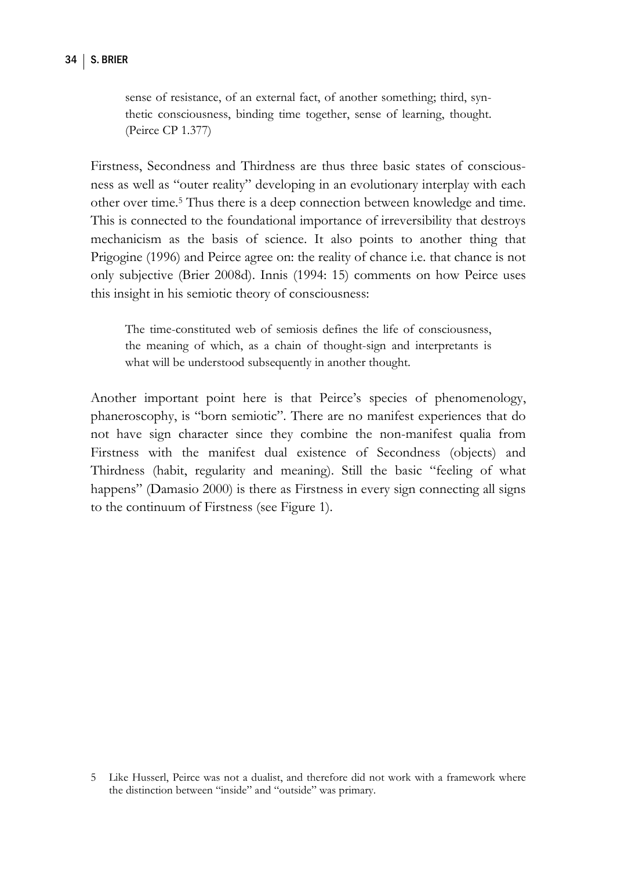sense of resistance, of an external fact, of another something; third, synthetic consciousness, binding time together, sense of learning, thought. (Peirce CP 1.377)

Firstness, Secondness and Thirdness are thus three basic states of consciousness as well as "outer reality" developing in an evolutionary interplay with each other over time.5 Thus there is a deep connection between knowledge and time. This is connected to the foundational importance of irreversibility that destroys mechanicism as the basis of science. It also points to another thing that Prigogine (1996) and Peirce agree on: the reality of chance i.e. that chance is not only subjective (Brier 2008d). Innis (1994: 15) comments on how Peirce uses this insight in his semiotic theory of consciousness:

The time-constituted web of semiosis defines the life of consciousness, the meaning of which, as a chain of thought-sign and interpretants is what will be understood subsequently in another thought.

Another important point here is that Peirce's species of phenomenology, phaneroscophy, is "born semiotic". There are no manifest experiences that do not have sign character since they combine the non-manifest qualia from Firstness with the manifest dual existence of Secondness (objects) and Thirdness (habit, regularity and meaning). Still the basic "feeling of what happens" (Damasio 2000) is there as Firstness in every sign connecting all signs to the continuum of Firstness (see Figure 1).

<sup>5</sup> Like Husserl, Peirce was not a dualist, and therefore did not work with a framework where the distinction between "inside" and "outside" was primary.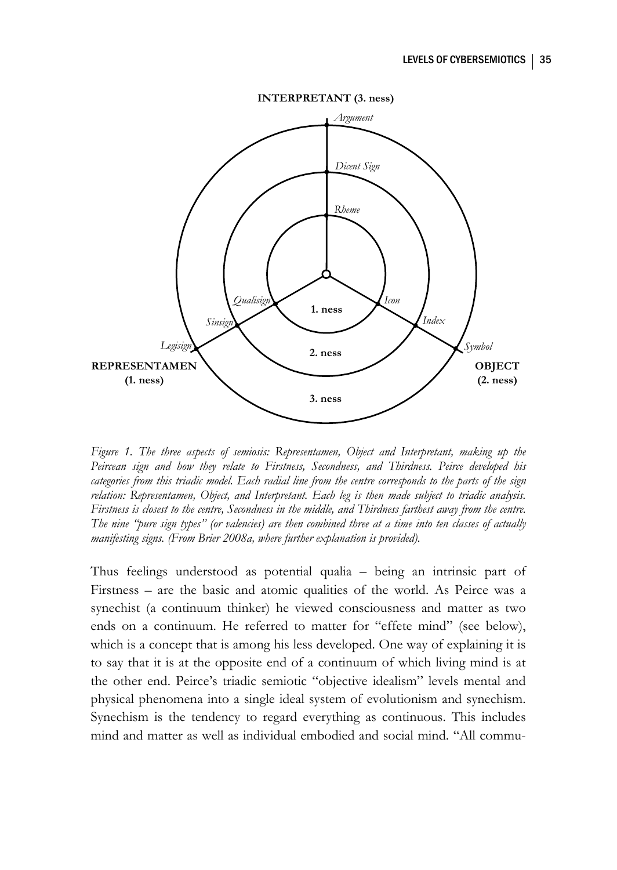

*Figure 1. The three aspects of semiosis: Representamen, Object and Interpretant, making up the Peircean sign and how they relate to Firstness, Secondness, and Thirdness. Peirce developed his categories from this triadic model. Each radial line from the centre corresponds to the parts of the sign relation: Representamen, Object, and Interpretant. Each leg is then made subject to triadic analysis. Firstness is closest to the centre, Secondness in the middle, and Thirdness farthest away from the centre. The nine "pure sign types" (or valencies) are then combined three at a time into ten classes of actually manifesting signs. (From Brier 2008a, where further explanation is provided).* 

Thus feelings understood as potential qualia – being an intrinsic part of Firstness – are the basic and atomic qualities of the world. As Peirce was a synechist (a continuum thinker) he viewed consciousness and matter as two ends on a continuum. He referred to matter for "effete mind" (see below), which is a concept that is among his less developed. One way of explaining it is to say that it is at the opposite end of a continuum of which living mind is at the other end. Peirce's triadic semiotic "objective idealism" levels mental and physical phenomena into a single ideal system of evolutionism and synechism. Synechism is the tendency to regard everything as continuous. This includes mind and matter as well as individual embodied and social mind. "All commu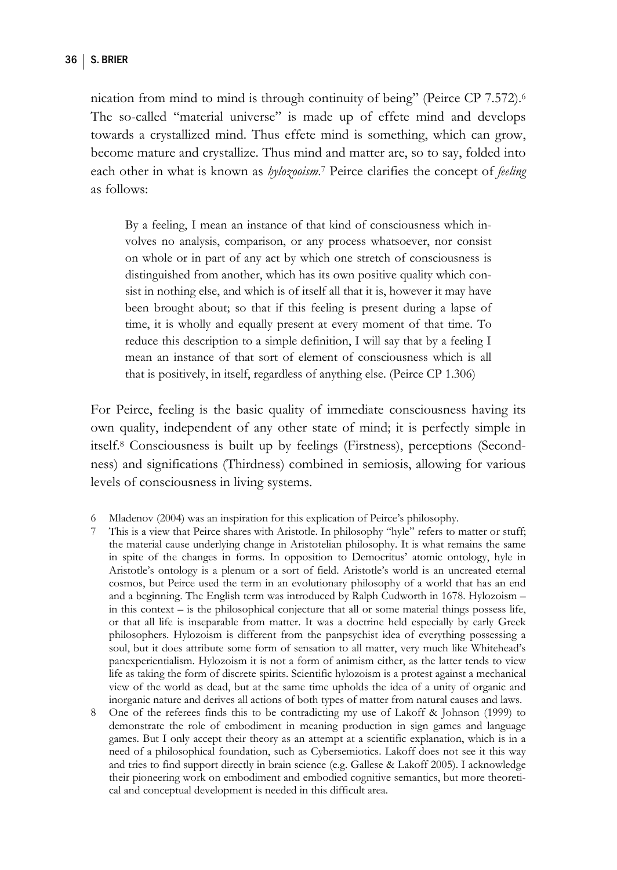nication from mind to mind is through continuity of being" (Peirce CP 7.572).6 The so-called "material universe" is made up of effete mind and develops towards a crystallized mind. Thus effete mind is something, which can grow, become mature and crystallize. Thus mind and matter are, so to say, folded into each other in what is known as *hylozooism*. 7 Peirce clarifies the concept of *feeling* as follows:

By a feeling, I mean an instance of that kind of consciousness which involves no analysis, comparison, or any process whatsoever, nor consist on whole or in part of any act by which one stretch of consciousness is distinguished from another, which has its own positive quality which consist in nothing else, and which is of itself all that it is, however it may have been brought about; so that if this feeling is present during a lapse of time, it is wholly and equally present at every moment of that time. To reduce this description to a simple definition, I will say that by a feeling I mean an instance of that sort of element of consciousness which is all that is positively, in itself, regardless of anything else. (Peirce CP 1.306)

For Peirce, feeling is the basic quality of immediate consciousness having its own quality, independent of any other state of mind; it is perfectly simple in itself.8 Consciousness is built up by feelings (Firstness), perceptions (Secondness) and significations (Thirdness) combined in semiosis, allowing for various levels of consciousness in living systems.

- 6 Mladenov (2004) was an inspiration for this explication of Peirce's philosophy.
- 7 This is a view that Peirce shares with Aristotle. In philosophy "hyle" refers to matter or stuff; the material cause underlying change in Aristotelian philosophy. It is what remains the same in spite of the changes in forms. In opposition to Democritus' atomic ontology, hyle in Aristotle's ontology is a plenum or a sort of field. Aristotle's world is an uncreated eternal cosmos, but Peirce used the term in an evolutionary philosophy of a world that has an end and a beginning. The English term was introduced by Ralph Cudworth in 1678. Hylozoism – in this context – is the philosophical conjecture that all or some material things possess life, or that all life is inseparable from matter. It was a doctrine held especially by early Greek philosophers. Hylozoism is different from the panpsychist idea of everything possessing a soul, but it does attribute some form of sensation to all matter, very much like Whitehead's panexperientialism. Hylozoism it is not a form of animism either, as the latter tends to view life as taking the form of discrete spirits. Scientific hylozoism is a protest against a mechanical view of the world as dead, but at the same time upholds the idea of a unity of organic and inorganic nature and derives all actions of both types of matter from natural causes and laws.
- 8 One of the referees finds this to be contradicting my use of Lakoff & Johnson (1999) to demonstrate the role of embodiment in meaning production in sign games and language games. But I only accept their theory as an attempt at a scientific explanation, which is in a need of a philosophical foundation, such as Cybersemiotics. Lakoff does not see it this way and tries to find support directly in brain science (e.g. Gallese & Lakoff 2005). I acknowledge their pioneering work on embodiment and embodied cognitive semantics, but more theoretical and conceptual development is needed in this difficult area.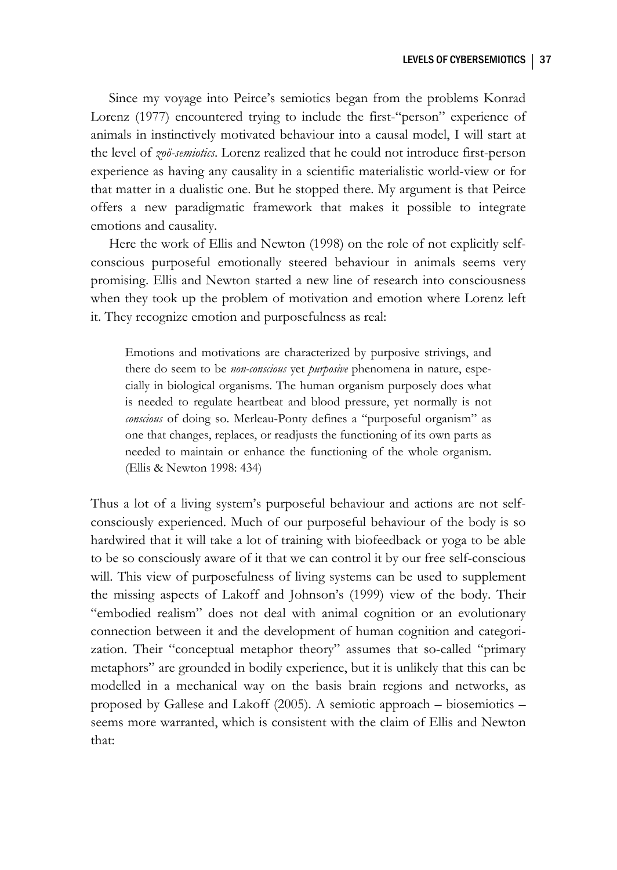Since my voyage into Peirce's semiotics began from the problems Konrad Lorenz (1977) encountered trying to include the first-"person" experience of animals in instinctively motivated behaviour into a causal model, I will start at the level of *zoö-semiotics*. Lorenz realized that he could not introduce first-person experience as having any causality in a scientific materialistic world-view or for that matter in a dualistic one. But he stopped there. My argument is that Peirce offers a new paradigmatic framework that makes it possible to integrate emotions and causality.

Here the work of Ellis and Newton (1998) on the role of not explicitly selfconscious purposeful emotionally steered behaviour in animals seems very promising. Ellis and Newton started a new line of research into consciousness when they took up the problem of motivation and emotion where Lorenz left it. They recognize emotion and purposefulness as real:

Emotions and motivations are characterized by purposive strivings, and there do seem to be *non-conscious* yet *purposive* phenomena in nature, especially in biological organisms. The human organism purposely does what is needed to regulate heartbeat and blood pressure, yet normally is not *conscious* of doing so. Merleau-Ponty defines a "purposeful organism" as one that changes, replaces, or readjusts the functioning of its own parts as needed to maintain or enhance the functioning of the whole organism. (Ellis & Newton 1998: 434)

Thus a lot of a living system's purposeful behaviour and actions are not selfconsciously experienced. Much of our purposeful behaviour of the body is so hardwired that it will take a lot of training with biofeedback or yoga to be able to be so consciously aware of it that we can control it by our free self-conscious will. This view of purposefulness of living systems can be used to supplement the missing aspects of Lakoff and Johnson's (1999) view of the body. Their "embodied realism" does not deal with animal cognition or an evolutionary connection between it and the development of human cognition and categorization. Their "conceptual metaphor theory" assumes that so-called "primary metaphors" are grounded in bodily experience, but it is unlikely that this can be modelled in a mechanical way on the basis brain regions and networks, as proposed by Gallese and Lakoff (2005). A semiotic approach – biosemiotics – seems more warranted, which is consistent with the claim of Ellis and Newton that: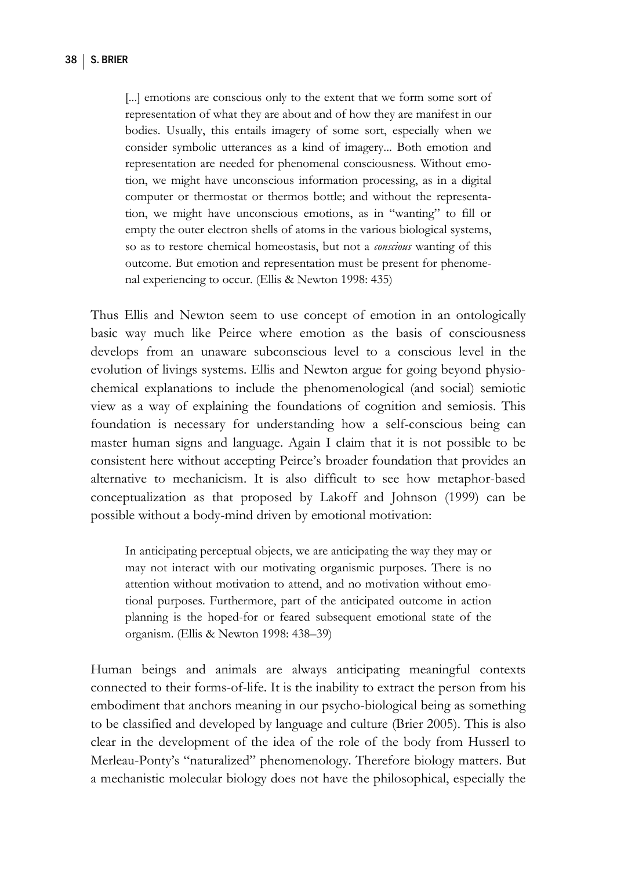[...] emotions are conscious only to the extent that we form some sort of representation of what they are about and of how they are manifest in our bodies. Usually, this entails imagery of some sort, especially when we consider symbolic utterances as a kind of imagery... Both emotion and representation are needed for phenomenal consciousness. Without emotion, we might have unconscious information processing, as in a digital computer or thermostat or thermos bottle; and without the representation, we might have unconscious emotions, as in "wanting" to fill or empty the outer electron shells of atoms in the various biological systems, so as to restore chemical homeostasis, but not a *conscious* wanting of this outcome. But emotion and representation must be present for phenomenal experiencing to occur. (Ellis & Newton 1998: 435)

Thus Ellis and Newton seem to use concept of emotion in an ontologically basic way much like Peirce where emotion as the basis of consciousness develops from an unaware subconscious level to a conscious level in the evolution of livings systems. Ellis and Newton argue for going beyond physiochemical explanations to include the phenomenological (and social) semiotic view as a way of explaining the foundations of cognition and semiosis. This foundation is necessary for understanding how a self-conscious being can master human signs and language. Again I claim that it is not possible to be consistent here without accepting Peirce's broader foundation that provides an alternative to mechanicism. It is also difficult to see how metaphor-based conceptualization as that proposed by Lakoff and Johnson (1999) can be possible without a body-mind driven by emotional motivation:

In anticipating perceptual objects, we are anticipating the way they may or may not interact with our motivating organismic purposes. There is no attention without motivation to attend, and no motivation without emotional purposes. Furthermore, part of the anticipated outcome in action planning is the hoped-for or feared subsequent emotional state of the organism. (Ellis & Newton 1998: 438–39)

Human beings and animals are always anticipating meaningful contexts connected to their forms-of-life. It is the inability to extract the person from his embodiment that anchors meaning in our psycho-biological being as something to be classified and developed by language and culture (Brier 2005). This is also clear in the development of the idea of the role of the body from Husserl to Merleau-Ponty's "naturalized" phenomenology. Therefore biology matters. But a mechanistic molecular biology does not have the philosophical, especially the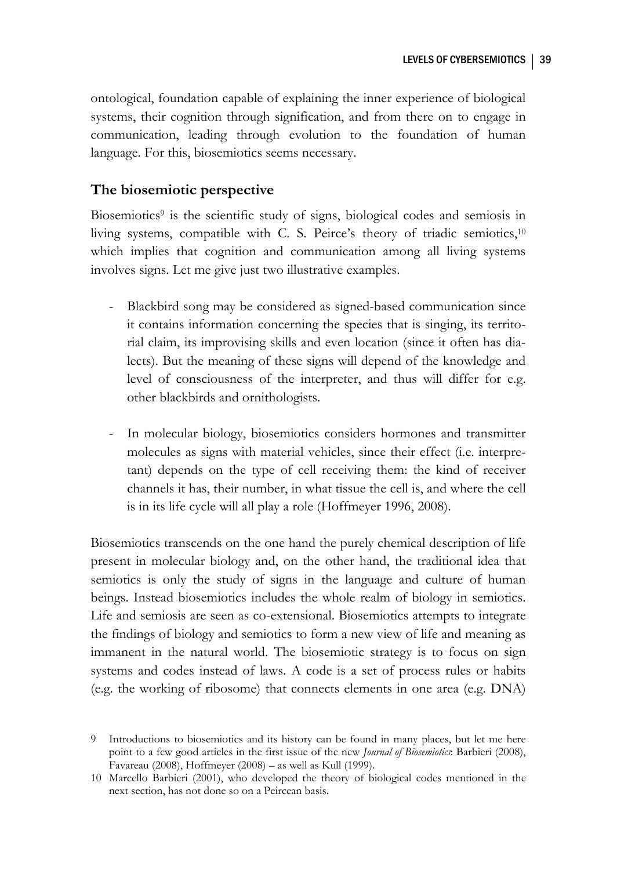ontological, foundation capable of explaining the inner experience of biological systems, their cognition through signification, and from there on to engage in communication, leading through evolution to the foundation of human language. For this, biosemiotics seems necessary.

#### **The biosemiotic perspective**

Biosemiotics<sup>9</sup> is the scientific study of signs, biological codes and semiosis in living systems, compatible with C. S. Peirce's theory of triadic semiotics,<sup>10</sup> which implies that cognition and communication among all living systems involves signs. Let me give just two illustrative examples.

- Blackbird song may be considered as signed-based communication since it contains information concerning the species that is singing, its territorial claim, its improvising skills and even location (since it often has dialects). But the meaning of these signs will depend of the knowledge and level of consciousness of the interpreter, and thus will differ for e.g. other blackbirds and ornithologists.
- In molecular biology, biosemiotics considers hormones and transmitter molecules as signs with material vehicles, since their effect (i.e. interpretant) depends on the type of cell receiving them: the kind of receiver channels it has, their number, in what tissue the cell is, and where the cell is in its life cycle will all play a role (Hoffmeyer 1996, 2008).

Biosemiotics transcends on the one hand the purely chemical description of life present in molecular biology and, on the other hand, the traditional idea that semiotics is only the study of signs in the language and culture of human beings. Instead biosemiotics includes the whole realm of biology in semiotics. Life and semiosis are seen as co-extensional. Biosemiotics attempts to integrate the findings of biology and semiotics to form a new view of life and meaning as immanent in the natural world. The biosemiotic strategy is to focus on sign systems and codes instead of laws. A code is a set of process rules or habits (e.g. the working of ribosome) that connects elements in one area (e.g. DNA)

<sup>9</sup> Introductions to biosemiotics and its history can be found in many places, but let me here point to a few good articles in the first issue of the new *Journal of Biosemiotics*: Barbieri (2008), Favareau (2008), Hoffmeyer (2008) – as well as Kull (1999).

<sup>10</sup> Marcello Barbieri (2001), who developed the theory of biological codes mentioned in the next section, has not done so on a Peircean basis.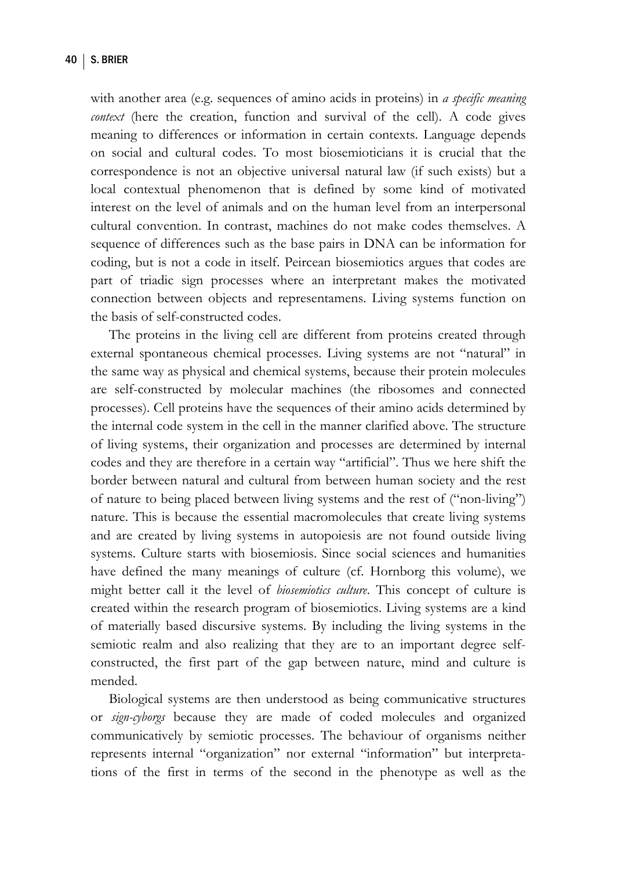with another area (e.g. sequences of amino acids in proteins) in *a specific meaning context* (here the creation, function and survival of the cell). A code gives meaning to differences or information in certain contexts. Language depends on social and cultural codes. To most biosemioticians it is crucial that the correspondence is not an objective universal natural law (if such exists) but a local contextual phenomenon that is defined by some kind of motivated interest on the level of animals and on the human level from an interpersonal cultural convention. In contrast, machines do not make codes themselves. A sequence of differences such as the base pairs in DNA can be information for coding, but is not a code in itself. Peircean biosemiotics argues that codes are part of triadic sign processes where an interpretant makes the motivated connection between objects and representamens. Living systems function on the basis of self-constructed codes.

The proteins in the living cell are different from proteins created through external spontaneous chemical processes. Living systems are not "natural" in the same way as physical and chemical systems, because their protein molecules are self-constructed by molecular machines (the ribosomes and connected processes). Cell proteins have the sequences of their amino acids determined by the internal code system in the cell in the manner clarified above. The structure of living systems, their organization and processes are determined by internal codes and they are therefore in a certain way "artificial". Thus we here shift the border between natural and cultural from between human society and the rest of nature to being placed between living systems and the rest of ("non-living") nature. This is because the essential macromolecules that create living systems and are created by living systems in autopoiesis are not found outside living systems. Culture starts with biosemiosis. Since social sciences and humanities have defined the many meanings of culture (cf. Hornborg this volume), we might better call it the level of *biosemiotics culture*. This concept of culture is created within the research program of biosemiotics. Living systems are a kind of materially based discursive systems. By including the living systems in the semiotic realm and also realizing that they are to an important degree selfconstructed, the first part of the gap between nature, mind and culture is mended.

Biological systems are then understood as being communicative structures or *sign-cyborgs* because they are made of coded molecules and organized communicatively by semiotic processes. The behaviour of organisms neither represents internal "organization" nor external "information" but interpretations of the first in terms of the second in the phenotype as well as the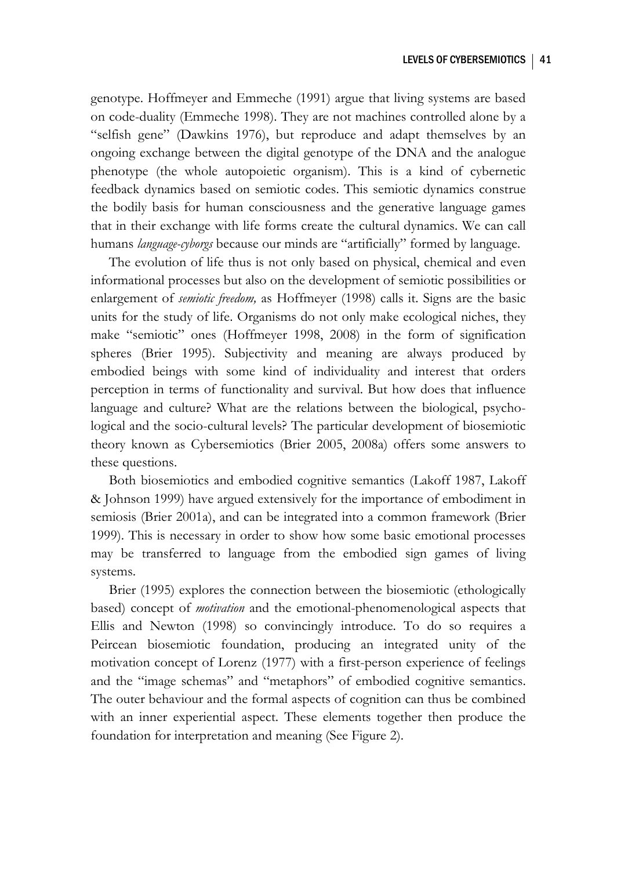genotype. Hoffmeyer and Emmeche (1991) argue that living systems are based on code-duality (Emmeche 1998). They are not machines controlled alone by a "selfish gene" (Dawkins 1976), but reproduce and adapt themselves by an ongoing exchange between the digital genotype of the DNA and the analogue phenotype (the whole autopoietic organism). This is a kind of cybernetic feedback dynamics based on semiotic codes. This semiotic dynamics construe the bodily basis for human consciousness and the generative language games that in their exchange with life forms create the cultural dynamics. We can call humans *language-cyborgs* because our minds are "artificially" formed by language.

The evolution of life thus is not only based on physical, chemical and even informational processes but also on the development of semiotic possibilities or enlargement of *semiotic freedom,* as Hoffmeyer (1998) calls it. Signs are the basic units for the study of life. Organisms do not only make ecological niches, they make "semiotic" ones (Hoffmeyer 1998, 2008) in the form of signification spheres (Brier 1995). Subjectivity and meaning are always produced by embodied beings with some kind of individuality and interest that orders perception in terms of functionality and survival. But how does that influence language and culture? What are the relations between the biological, psychological and the socio-cultural levels? The particular development of biosemiotic theory known as Cybersemiotics (Brier 2005, 2008a) offers some answers to these questions.

Both biosemiotics and embodied cognitive semantics (Lakoff 1987, Lakoff & Johnson 1999) have argued extensively for the importance of embodiment in semiosis (Brier 2001a), and can be integrated into a common framework (Brier 1999). This is necessary in order to show how some basic emotional processes may be transferred to language from the embodied sign games of living systems.

Brier (1995) explores the connection between the biosemiotic (ethologically based) concept of *motivation* and the emotional-phenomenological aspects that Ellis and Newton (1998) so convincingly introduce. To do so requires a Peircean biosemiotic foundation, producing an integrated unity of the motivation concept of Lorenz (1977) with a first-person experience of feelings and the "image schemas" and "metaphors" of embodied cognitive semantics. The outer behaviour and the formal aspects of cognition can thus be combined with an inner experiential aspect. These elements together then produce the foundation for interpretation and meaning (See Figure 2).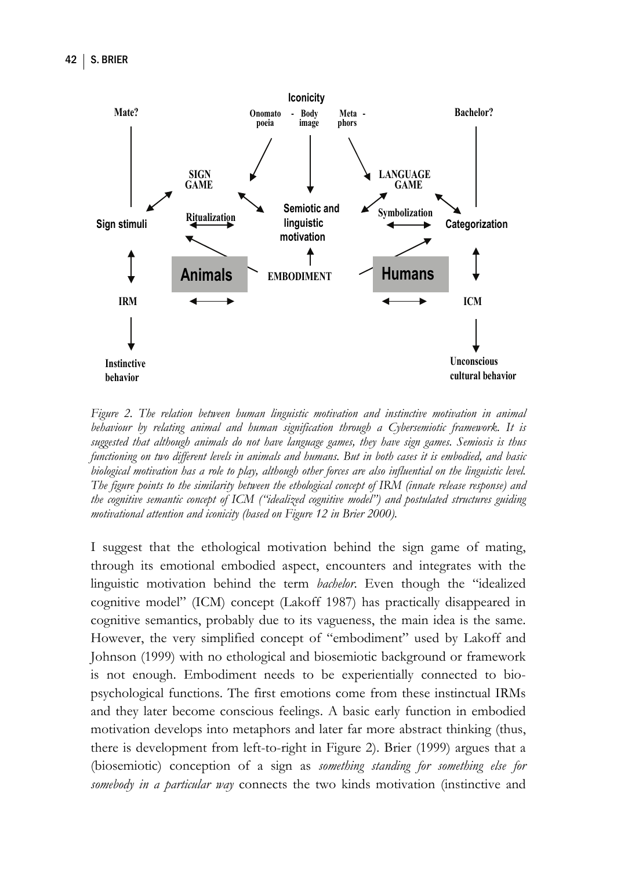

*Figure 2. The relation between human linguistic motivation and instinctive motivation in animal behaviour by relating animal and human signification through a Cybersemiotic framework. It is suggested that although animals do not have language games, they have sign games. Semiosis is thus functioning on two different levels in animals and humans. But in both cases it is embodied, and basic biological motivation has a role to play, although other forces are also influential on the linguistic level. The figure points to the similarity between the ethological concept of IRM (innate release response) and the cognitive semantic concept of ICM ("idealized cognitive model") and postulated structures guiding motivational attention and iconicity (based on Figure 12 in Brier 2000).* 

I suggest that the ethological motivation behind the sign game of mating, through its emotional embodied aspect, encounters and integrates with the linguistic motivation behind the term *bachelor*. Even though the "idealized cognitive model" (ICM) concept (Lakoff 1987) has practically disappeared in cognitive semantics, probably due to its vagueness, the main idea is the same. However, the very simplified concept of "embodiment" used by Lakoff and Johnson (1999) with no ethological and biosemiotic background or framework is not enough. Embodiment needs to be experientially connected to biopsychological functions. The first emotions come from these instinctual IRMs and they later become conscious feelings. A basic early function in embodied motivation develops into metaphors and later far more abstract thinking (thus, there is development from left-to-right in Figure 2). Brier (1999) argues that a (biosemiotic) conception of a sign as *something standing for something else for somebody in a particular way* connects the two kinds motivation (instinctive and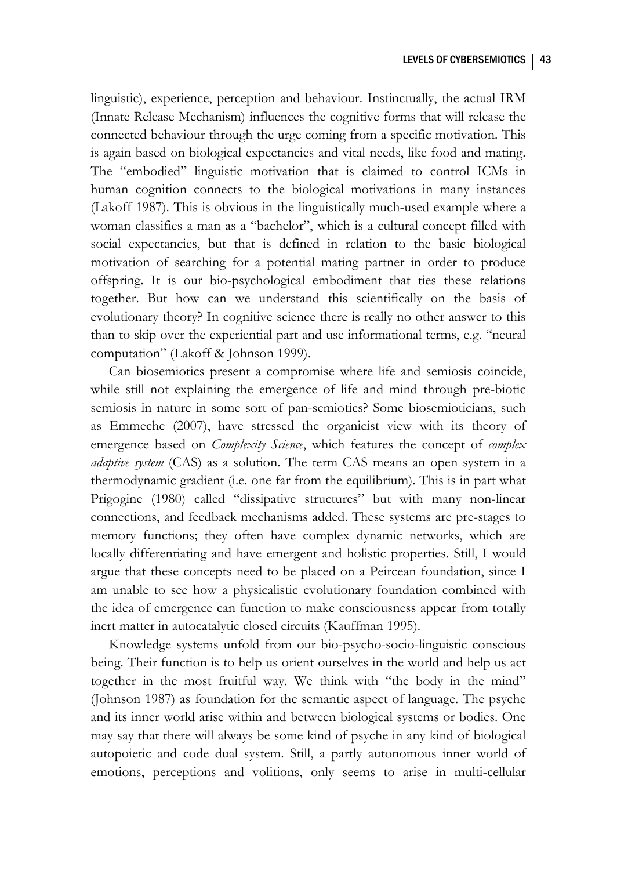linguistic), experience, perception and behaviour. Instinctually, the actual IRM (Innate Release Mechanism) influences the cognitive forms that will release the connected behaviour through the urge coming from a specific motivation. This is again based on biological expectancies and vital needs, like food and mating. The "embodied" linguistic motivation that is claimed to control ICMs in human cognition connects to the biological motivations in many instances (Lakoff 1987). This is obvious in the linguistically much-used example where a woman classifies a man as a "bachelor", which is a cultural concept filled with social expectancies, but that is defined in relation to the basic biological motivation of searching for a potential mating partner in order to produce offspring. It is our bio-psychological embodiment that ties these relations together. But how can we understand this scientifically on the basis of evolutionary theory? In cognitive science there is really no other answer to this than to skip over the experiential part and use informational terms, e.g. "neural computation" (Lakoff & Johnson 1999).

Can biosemiotics present a compromise where life and semiosis coincide, while still not explaining the emergence of life and mind through pre-biotic semiosis in nature in some sort of pan-semiotics? Some biosemioticians, such as Emmeche (2007), have stressed the organicist view with its theory of emergence based on *Complexity Science*, which features the concept of *complex adaptive system* (CAS) as a solution. The term CAS means an open system in a thermodynamic gradient (i.e. one far from the equilibrium). This is in part what Prigogine (1980) called "dissipative structures" but with many non-linear connections, and feedback mechanisms added. These systems are pre-stages to memory functions; they often have complex dynamic networks, which are locally differentiating and have emergent and holistic properties. Still, I would argue that these concepts need to be placed on a Peircean foundation, since I am unable to see how a physicalistic evolutionary foundation combined with the idea of emergence can function to make consciousness appear from totally inert matter in autocatalytic closed circuits (Kauffman 1995).

Knowledge systems unfold from our bio-psycho-socio-linguistic conscious being. Their function is to help us orient ourselves in the world and help us act together in the most fruitful way. We think with "the body in the mind" (Johnson 1987) as foundation for the semantic aspect of language. The psyche and its inner world arise within and between biological systems or bodies. One may say that there will always be some kind of psyche in any kind of biological autopoietic and code dual system. Still, a partly autonomous inner world of emotions, perceptions and volitions, only seems to arise in multi-cellular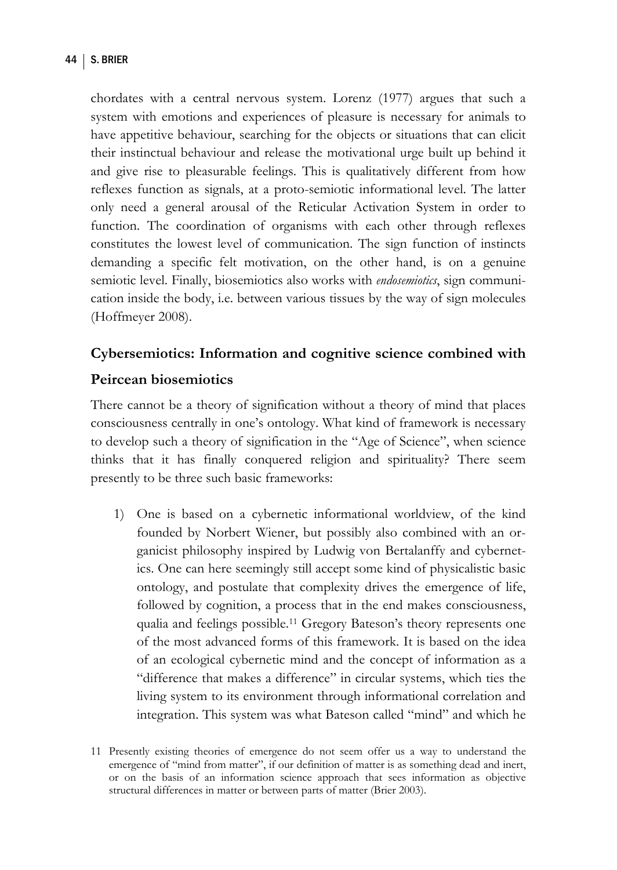chordates with a central nervous system. Lorenz (1977) argues that such a system with emotions and experiences of pleasure is necessary for animals to have appetitive behaviour, searching for the objects or situations that can elicit their instinctual behaviour and release the motivational urge built up behind it and give rise to pleasurable feelings. This is qualitatively different from how reflexes function as signals, at a proto-semiotic informational level. The latter only need a general arousal of the Reticular Activation System in order to function. The coordination of organisms with each other through reflexes constitutes the lowest level of communication. The sign function of instincts demanding a specific felt motivation, on the other hand, is on a genuine semiotic level. Finally, biosemiotics also works with *endosemiotics*, sign communication inside the body, i.e. between various tissues by the way of sign molecules (Hoffmeyer 2008).

### **Cybersemiotics: Information and cognitive science combined with**

### **Peircean biosemiotics**

There cannot be a theory of signification without a theory of mind that places consciousness centrally in one's ontology. What kind of framework is necessary to develop such a theory of signification in the "Age of Science", when science thinks that it has finally conquered religion and spirituality? There seem presently to be three such basic frameworks:

1) One is based on a cybernetic informational worldview, of the kind founded by Norbert Wiener, but possibly also combined with an organicist philosophy inspired by Ludwig von Bertalanffy and cybernetics. One can here seemingly still accept some kind of physicalistic basic ontology, and postulate that complexity drives the emergence of life, followed by cognition, a process that in the end makes consciousness, qualia and feelings possible.11 Gregory Bateson's theory represents one of the most advanced forms of this framework. It is based on the idea of an ecological cybernetic mind and the concept of information as a "difference that makes a difference" in circular systems, which ties the living system to its environment through informational correlation and integration. This system was what Bateson called "mind" and which he

<sup>11</sup> Presently existing theories of emergence do not seem offer us a way to understand the emergence of "mind from matter", if our definition of matter is as something dead and inert, or on the basis of an information science approach that sees information as objective structural differences in matter or between parts of matter (Brier 2003).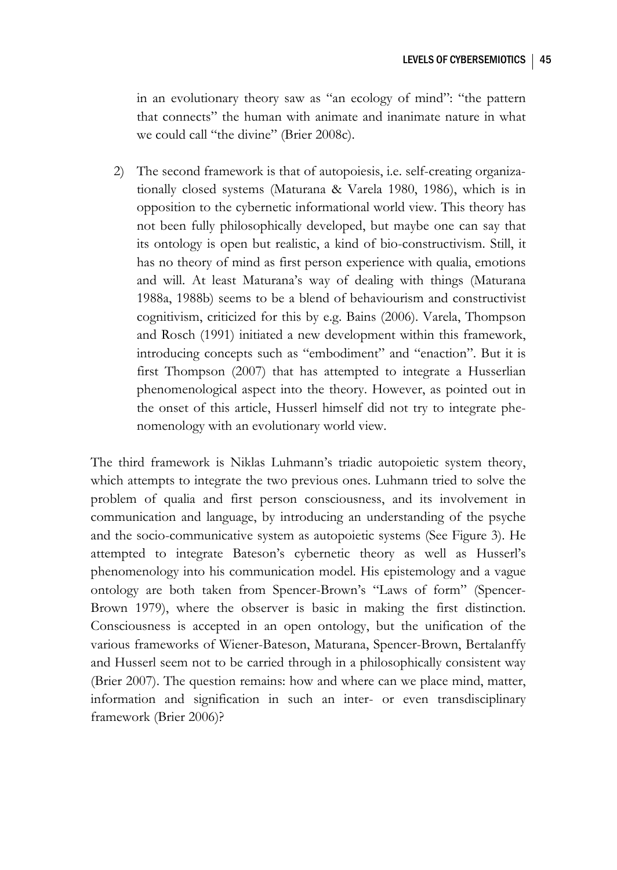in an evolutionary theory saw as "an ecology of mind": "the pattern that connects" the human with animate and inanimate nature in what we could call "the divine" (Brier 2008c).

2) The second framework is that of autopoiesis, i.e. self-creating organizationally closed systems (Maturana & Varela 1980, 1986), which is in opposition to the cybernetic informational world view. This theory has not been fully philosophically developed, but maybe one can say that its ontology is open but realistic, a kind of bio-constructivism. Still, it has no theory of mind as first person experience with qualia, emotions and will. At least Maturana's way of dealing with things (Maturana 1988a, 1988b) seems to be a blend of behaviourism and constructivist cognitivism, criticized for this by e.g. Bains (2006). Varela, Thompson and Rosch (1991) initiated a new development within this framework, introducing concepts such as "embodiment" and "enaction". But it is first Thompson (2007) that has attempted to integrate a Husserlian phenomenological aspect into the theory. However, as pointed out in the onset of this article, Husserl himself did not try to integrate phenomenology with an evolutionary world view.

The third framework is Niklas Luhmann's triadic autopoietic system theory, which attempts to integrate the two previous ones. Luhmann tried to solve the problem of qualia and first person consciousness, and its involvement in communication and language, by introducing an understanding of the psyche and the socio-communicative system as autopoietic systems (See Figure 3). He attempted to integrate Bateson's cybernetic theory as well as Husserl's phenomenology into his communication model. His epistemology and a vague ontology are both taken from Spencer-Brown's "Laws of form" (Spencer-Brown 1979), where the observer is basic in making the first distinction. Consciousness is accepted in an open ontology, but the unification of the various frameworks of Wiener-Bateson, Maturana, Spencer-Brown, Bertalanffy and Husserl seem not to be carried through in a philosophically consistent way (Brier 2007). The question remains: how and where can we place mind, matter, information and signification in such an inter- or even transdisciplinary framework (Brier 2006)?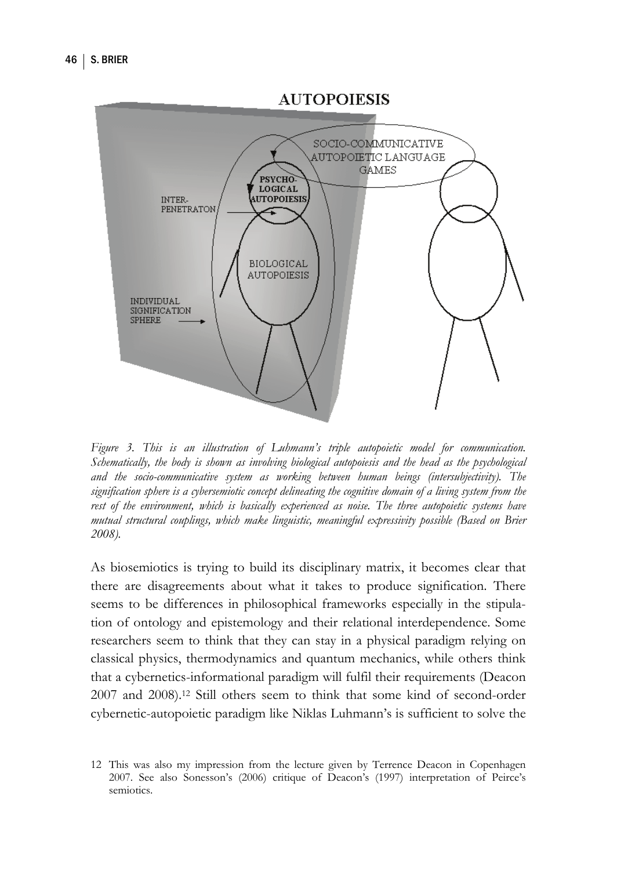

*Figure 3. This is an illustration of Luhmann's triple autopoietic model for communication. Schematically, the body is shown as involving biological autopoiesis and the head as the psychological and the socio-communicative system as working between human beings (intersubjectivity). The signification sphere is a cybersemiotic concept delineating the cognitive domain of a living system from the rest of the environment, which is basically experienced as noise. The three autopoietic systems have mutual structural couplings, which make linguistic, meaningful expressivity possible (Based on Brier 2008).* 

As biosemiotics is trying to build its disciplinary matrix, it becomes clear that there are disagreements about what it takes to produce signification. There seems to be differences in philosophical frameworks especially in the stipulation of ontology and epistemology and their relational interdependence. Some researchers seem to think that they can stay in a physical paradigm relying on classical physics, thermodynamics and quantum mechanics, while others think that a cybernetics-informational paradigm will fulfil their requirements (Deacon 2007 and 2008).12 Still others seem to think that some kind of second-order cybernetic-autopoietic paradigm like Niklas Luhmann's is sufficient to solve the

<sup>12</sup> This was also my impression from the lecture given by Terrence Deacon in Copenhagen 2007. See also Sonesson's (2006) critique of Deacon's (1997) interpretation of Peirce's semiotics.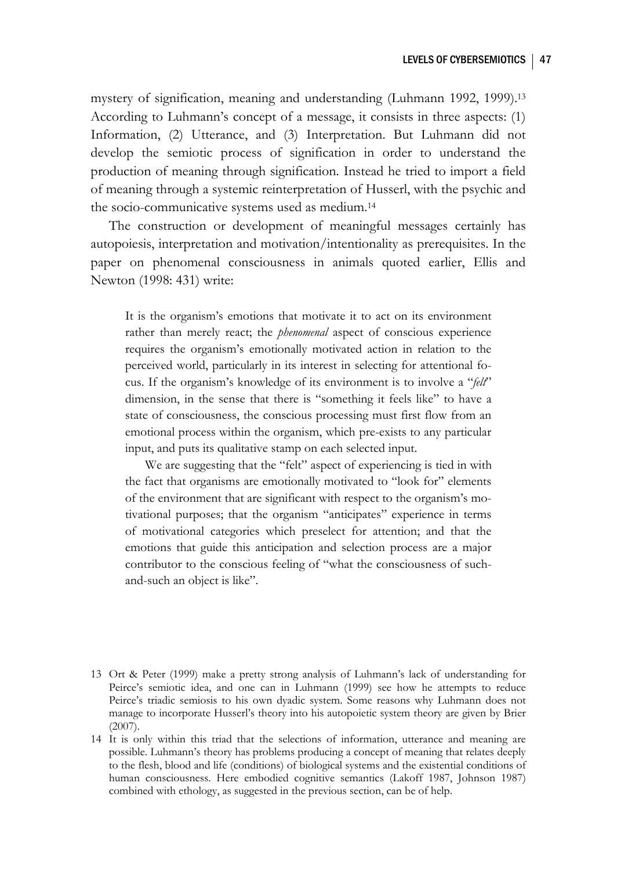mystery of signification, meaning and understanding (Luhmann 1992, 1999).13 According to Luhmann's concept of a message, it consists in three aspects: (1) Information, (2) Utterance, and (3) Interpretation. But Luhmann did not develop the semiotic process of signification in order to understand the production of meaning through signification. Instead he tried to import a field of meaning through a systemic reinterpretation of Husserl, with the psychic and the socio-communicative systems used as medium.14

The construction or development of meaningful messages certainly has autopoiesis, interpretation and motivation/intentionality as prerequisites. In the paper on phenomenal consciousness in animals quoted earlier, Ellis and Newton (1998: 431) write:

It is the organism's emotions that motivate it to act on its environment rather than merely react; the *phenomenal* aspect of conscious experience requires the organism's emotionally motivated action in relation to the perceived world, particularly in its interest in selecting for attentional focus. If the organism's knowledge of its environment is to involve a "*felt*" dimension, in the sense that there is "something it feels like" to have a state of consciousness, the conscious processing must first flow from an emotional process within the organism, which pre-exists to any particular input, and puts its qualitative stamp on each selected input.

 We are suggesting that the "felt" aspect of experiencing is tied in with the fact that organisms are emotionally motivated to "look for" elements of the environment that are significant with respect to the organism's motivational purposes; that the organism "anticipates" experience in terms of motivational categories which preselect for attention; and that the emotions that guide this anticipation and selection process are a major contributor to the conscious feeling of "what the consciousness of suchand-such an object is like".

<sup>13</sup> Ort & Peter (1999) make a pretty strong analysis of Luhmann's lack of understanding for Peirce's semiotic idea, and one can in Luhmann (1999) see how he attempts to reduce Peirce's triadic semiosis to his own dyadic system. Some reasons why Luhmann does not manage to incorporate Husserl's theory into his autopoietic system theory are given by Brier (2007).

<sup>14</sup> It is only within this triad that the selections of information, utterance and meaning are possible. Luhmann's theory has problems producing a concept of meaning that relates deeply to the flesh, blood and life (conditions) of biological systems and the existential conditions of human consciousness. Here embodied cognitive semantics (Lakoff 1987, Johnson 1987) combined with ethology, as suggested in the previous section, can be of help.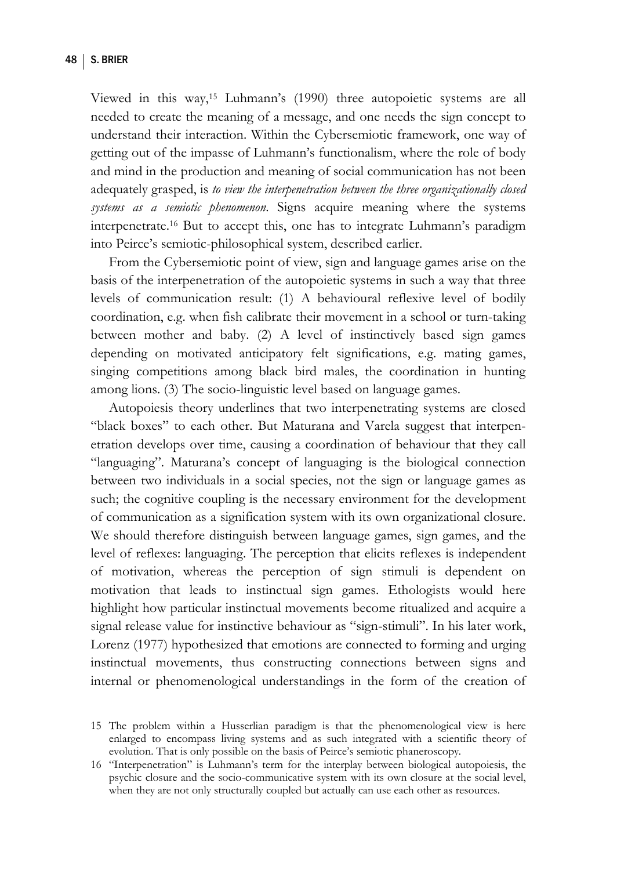Viewed in this way,15 Luhmann's (1990) three autopoietic systems are all needed to create the meaning of a message, and one needs the sign concept to understand their interaction. Within the Cybersemiotic framework, one way of getting out of the impasse of Luhmann's functionalism, where the role of body and mind in the production and meaning of social communication has not been adequately grasped, is *to view the interpenetration between the three organizationally closed systems as a semiotic phenomenon*. Signs acquire meaning where the systems interpenetrate.16 But to accept this, one has to integrate Luhmann's paradigm into Peirce's semiotic-philosophical system, described earlier.

From the Cybersemiotic point of view, sign and language games arise on the basis of the interpenetration of the autopoietic systems in such a way that three levels of communication result: (1) A behavioural reflexive level of bodily coordination, e.g. when fish calibrate their movement in a school or turn-taking between mother and baby. (2) A level of instinctively based sign games depending on motivated anticipatory felt significations, e.g. mating games, singing competitions among black bird males, the coordination in hunting among lions. (3) The socio-linguistic level based on language games.

Autopoiesis theory underlines that two interpenetrating systems are closed "black boxes" to each other. But Maturana and Varela suggest that interpenetration develops over time, causing a coordination of behaviour that they call "languaging". Maturana's concept of languaging is the biological connection between two individuals in a social species, not the sign or language games as such; the cognitive coupling is the necessary environment for the development of communication as a signification system with its own organizational closure. We should therefore distinguish between language games, sign games, and the level of reflexes: languaging. The perception that elicits reflexes is independent of motivation, whereas the perception of sign stimuli is dependent on motivation that leads to instinctual sign games. Ethologists would here highlight how particular instinctual movements become ritualized and acquire a signal release value for instinctive behaviour as "sign-stimuli". In his later work, Lorenz (1977) hypothesized that emotions are connected to forming and urging instinctual movements, thus constructing connections between signs and internal or phenomenological understandings in the form of the creation of

15 The problem within a Husserlian paradigm is that the phenomenological view is here enlarged to encompass living systems and as such integrated with a scientific theory of evolution. That is only possible on the basis of Peirce's semiotic phaneroscopy*.*

16 "Interpenetration" is Luhmann's term for the interplay between biological autopoiesis, the psychic closure and the socio-communicative system with its own closure at the social level, when they are not only structurally coupled but actually can use each other as resources.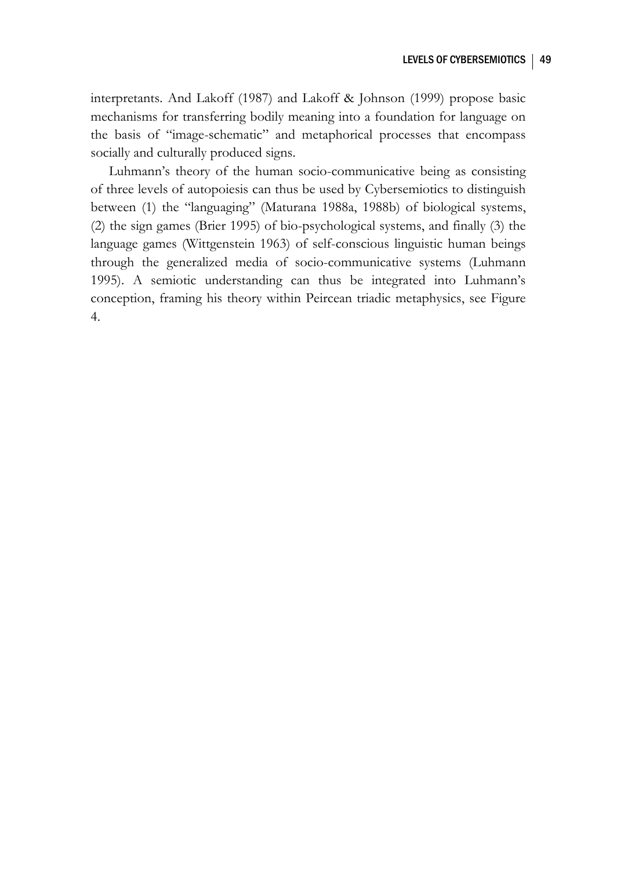interpretants. And Lakoff (1987) and Lakoff & Johnson (1999) propose basic mechanisms for transferring bodily meaning into a foundation for language on the basis of "image-schematic" and metaphorical processes that encompass socially and culturally produced signs.

Luhmann's theory of the human socio-communicative being as consisting of three levels of autopoiesis can thus be used by Cybersemiotics to distinguish between (1) the "languaging" (Maturana 1988a, 1988b) of biological systems, (2) the sign games (Brier 1995) of bio-psychological systems, and finally (3) the language games (Wittgenstein 1963) of self-conscious linguistic human beings through the generalized media of socio-communicative systems (Luhmann 1995). A semiotic understanding can thus be integrated into Luhmann's conception, framing his theory within Peircean triadic metaphysics, see Figure 4.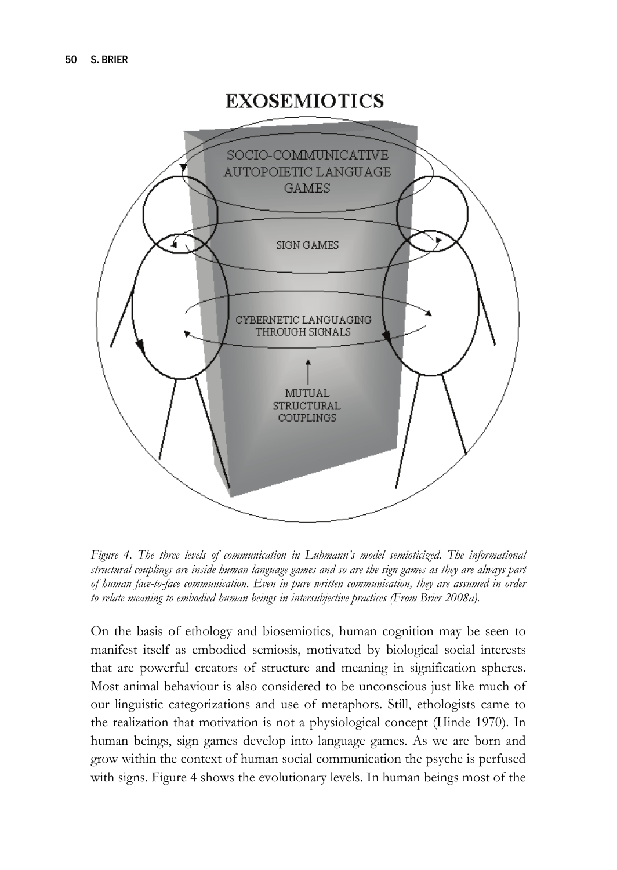## **EXOSEMIOTICS**



*Figure 4. The three levels of communication in Luhmann's model semioticized. The informational structural couplings are inside human language games and so are the sign games as they are always part of human face-to-face communication. Even in pure written communication, they are assumed in order to relate meaning to embodied human beings in intersubjective practices (From Brier 2008a).* 

On the basis of ethology and biosemiotics, human cognition may be seen to manifest itself as embodied semiosis, motivated by biological social interests that are powerful creators of structure and meaning in signification spheres. Most animal behaviour is also considered to be unconscious just like much of our linguistic categorizations and use of metaphors. Still, ethologists came to the realization that motivation is not a physiological concept (Hinde 1970). In human beings, sign games develop into language games. As we are born and grow within the context of human social communication the psyche is perfused with signs. Figure 4 shows the evolutionary levels. In human beings most of the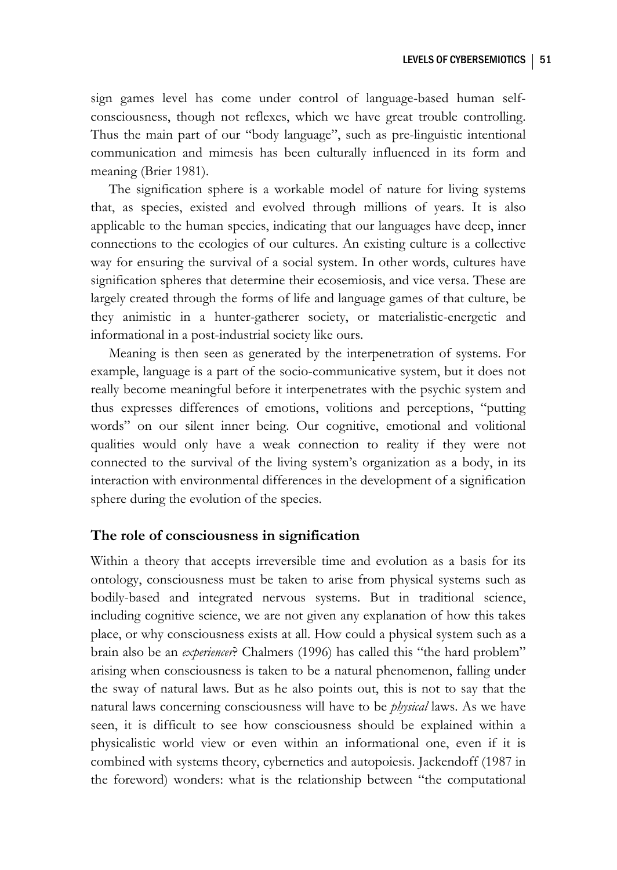sign games level has come under control of language-based human selfconsciousness, though not reflexes, which we have great trouble controlling. Thus the main part of our "body language", such as pre-linguistic intentional communication and mimesis has been culturally influenced in its form and meaning (Brier 1981).

The signification sphere is a workable model of nature for living systems that, as species, existed and evolved through millions of years. It is also applicable to the human species, indicating that our languages have deep, inner connections to the ecologies of our cultures. An existing culture is a collective way for ensuring the survival of a social system. In other words, cultures have signification spheres that determine their ecosemiosis, and vice versa. These are largely created through the forms of life and language games of that culture, be they animistic in a hunter-gatherer society, or materialistic-energetic and informational in a post-industrial society like ours.

Meaning is then seen as generated by the interpenetration of systems. For example, language is a part of the socio-communicative system, but it does not really become meaningful before it interpenetrates with the psychic system and thus expresses differences of emotions, volitions and perceptions, "putting words" on our silent inner being. Our cognitive, emotional and volitional qualities would only have a weak connection to reality if they were not connected to the survival of the living system's organization as a body, in its interaction with environmental differences in the development of a signification sphere during the evolution of the species.

#### **The role of consciousness in signification**

Within a theory that accepts irreversible time and evolution as a basis for its ontology, consciousness must be taken to arise from physical systems such as bodily-based and integrated nervous systems. But in traditional science, including cognitive science, we are not given any explanation of how this takes place, or why consciousness exists at all. How could a physical system such as a brain also be an *experiencer*? Chalmers (1996) has called this "the hard problem" arising when consciousness is taken to be a natural phenomenon, falling under the sway of natural laws. But as he also points out, this is not to say that the natural laws concerning consciousness will have to be *physical* laws. As we have seen, it is difficult to see how consciousness should be explained within a physicalistic world view or even within an informational one, even if it is combined with systems theory, cybernetics and autopoiesis. Jackendoff (1987 in the foreword) wonders: what is the relationship between "the computational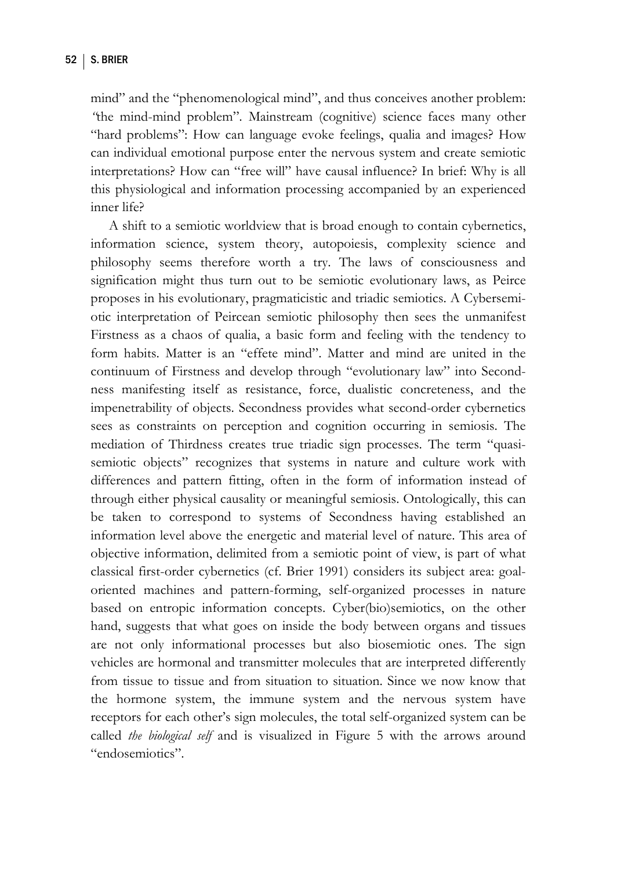mind" and the "phenomenological mind", and thus conceives another problem: *"*the mind-mind problem"*.* Mainstream (cognitive) science faces many other "hard problems": How can language evoke feelings, qualia and images? How can individual emotional purpose enter the nervous system and create semiotic interpretations? How can "free will" have causal influence? In brief: Why is all this physiological and information processing accompanied by an experienced inner life?

A shift to a semiotic worldview that is broad enough to contain cybernetics, information science, system theory, autopoiesis, complexity science and philosophy seems therefore worth a try. The laws of consciousness and signification might thus turn out to be semiotic evolutionary laws, as Peirce proposes in his evolutionary, pragmaticistic and triadic semiotics. A Cybersemiotic interpretation of Peircean semiotic philosophy then sees the unmanifest Firstness as a chaos of qualia, a basic form and feeling with the tendency to form habits. Matter is an "effete mind". Matter and mind are united in the continuum of Firstness and develop through "evolutionary law" into Secondness manifesting itself as resistance, force, dualistic concreteness, and the impenetrability of objects. Secondness provides what second-order cybernetics sees as constraints on perception and cognition occurring in semiosis. The mediation of Thirdness creates true triadic sign processes. The term "quasisemiotic objects" recognizes that systems in nature and culture work with differences and pattern fitting, often in the form of information instead of through either physical causality or meaningful semiosis. Ontologically, this can be taken to correspond to systems of Secondness having established an information level above the energetic and material level of nature. This area of objective information, delimited from a semiotic point of view, is part of what classical first-order cybernetics (cf. Brier 1991) considers its subject area: goaloriented machines and pattern-forming, self-organized processes in nature based on entropic information concepts. Cyber(bio)semiotics, on the other hand, suggests that what goes on inside the body between organs and tissues are not only informational processes but also biosemiotic ones. The sign vehicles are hormonal and transmitter molecules that are interpreted differently from tissue to tissue and from situation to situation. Since we now know that the hormone system, the immune system and the nervous system have receptors for each other's sign molecules, the total self-organized system can be called *the biological self* and is visualized in Figure 5 with the arrows around "endosemiotics".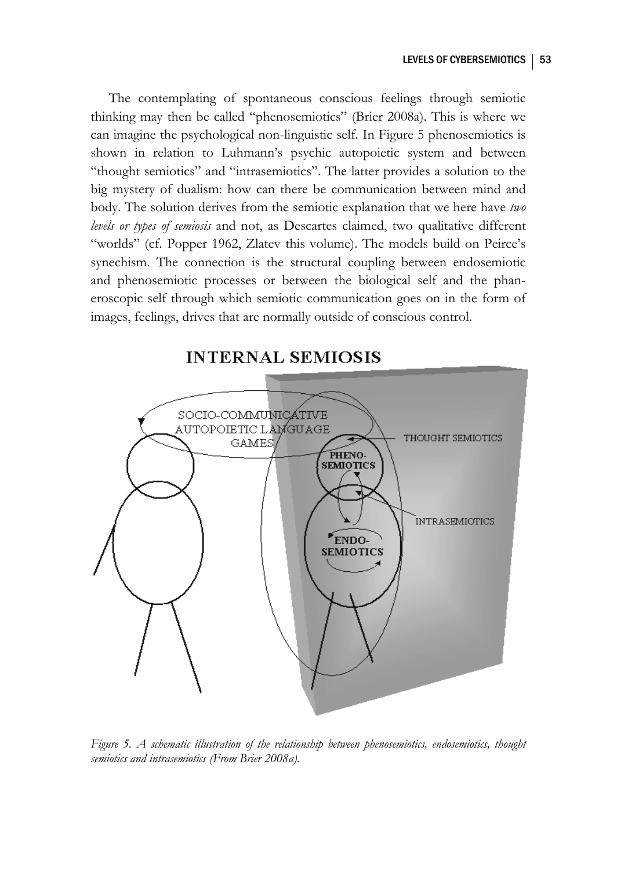The contemplating of spontaneous conscious feelings through semiotic thinking may then be called "phenosemiotics" (Brier 2008a). This is where we can imagine the psychological non-linguistic self. In Figure 5 phenosemiotics is shown in relation to Luhmann's psychic autopoietic system and between "thought semiotics" and "intrasemiotics". The latter provides a solution to the big mystery of dualism: how can there be communication between mind and body. The solution derives from the semiotic explanation that we here have *two levels or types of semiosis* and not, as Descartes claimed, two qualitative different "worlds" (cf. Popper 1962, Zlatev this volume). The models build on Peirce's synechism. The connection is the structural coupling between endosemiotic and phenosemiotic processes or between the biological self and the phaneroscopic self through which semiotic communication goes on in the form of images, feelings, drives that are normally outside of conscious control.

SOCIO-COMMUNICATIVE AUTOPOIETIC LAMGUAGE THOUGHT SEMIOTICS GAMES PHENO-**SEMIOTICS INTRASEMIOTICS** ENDO-**SEMIOTICS** 

**INTERNAL SEMIOSIS** 

*Figure 5. A schematic illustration of the relationship between phenosemiotics, endosemiotics, thought semiotics and intrasemiotics (From Brier 2008a).*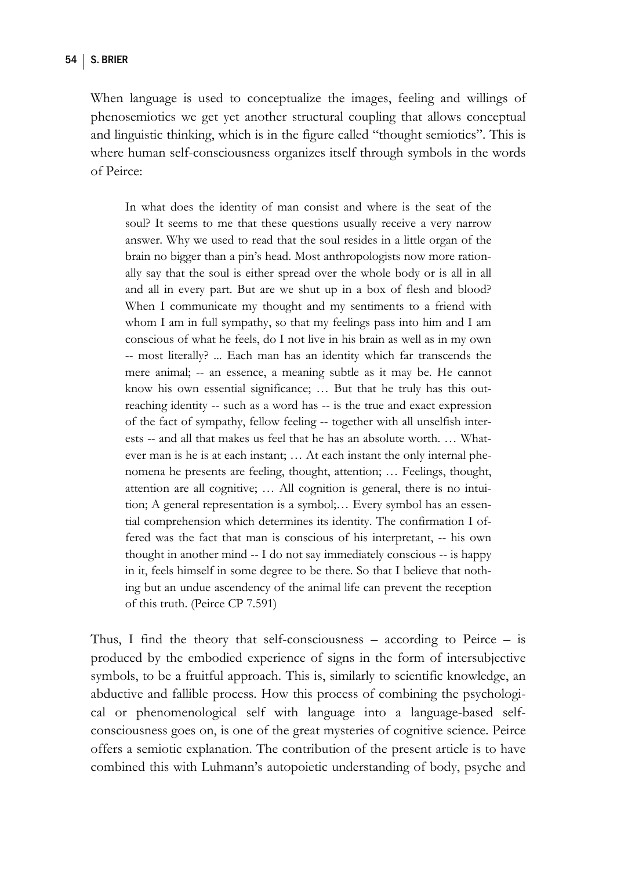When language is used to conceptualize the images, feeling and willings of phenosemiotics we get yet another structural coupling that allows conceptual and linguistic thinking, which is in the figure called "thought semiotics". This is where human self-consciousness organizes itself through symbols in the words of Peirce:

In what does the identity of man consist and where is the seat of the soul? It seems to me that these questions usually receive a very narrow answer. Why we used to read that the soul resides in a little organ of the brain no bigger than a pin's head. Most anthropologists now more rationally say that the soul is either spread over the whole body or is all in all and all in every part. But are we shut up in a box of flesh and blood? When I communicate my thought and my sentiments to a friend with whom I am in full sympathy, so that my feelings pass into him and I am conscious of what he feels, do I not live in his brain as well as in my own -- most literally? ... Each man has an identity which far transcends the mere animal; -- an essence, a meaning subtle as it may be. He cannot know his own essential significance; … But that he truly has this outreaching identity -- such as a word has -- is the true and exact expression of the fact of sympathy, fellow feeling -- together with all unselfish interests -- and all that makes us feel that he has an absolute worth. … Whatever man is he is at each instant; … At each instant the only internal phenomena he presents are feeling, thought, attention; … Feelings, thought, attention are all cognitive; … All cognition is general, there is no intuition; A general representation is a symbol;… Every symbol has an essential comprehension which determines its identity. The confirmation I offered was the fact that man is conscious of his interpretant, -- his own thought in another mind -- I do not say immediately conscious -- is happy in it, feels himself in some degree to be there. So that I believe that nothing but an undue ascendency of the animal life can prevent the reception of this truth. (Peirce CP 7.591)

Thus, I find the theory that self-consciousness  $-$  according to Peirce  $-$  is produced by the embodied experience of signs in the form of intersubjective symbols, to be a fruitful approach. This is, similarly to scientific knowledge, an abductive and fallible process. How this process of combining the psychological or phenomenological self with language into a language-based selfconsciousness goes on, is one of the great mysteries of cognitive science. Peirce offers a semiotic explanation. The contribution of the present article is to have combined this with Luhmann's autopoietic understanding of body, psyche and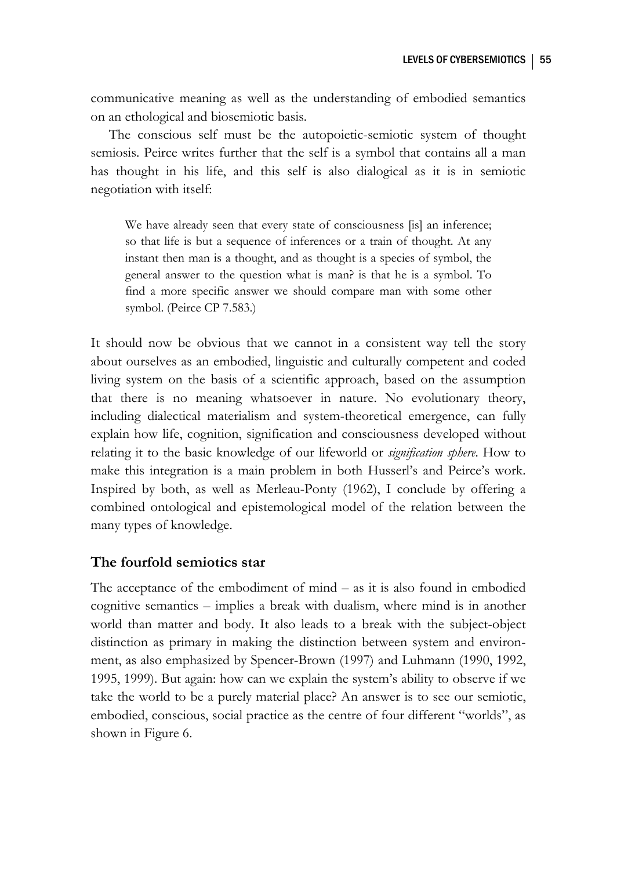communicative meaning as well as the understanding of embodied semantics on an ethological and biosemiotic basis.

The conscious self must be the autopoietic-semiotic system of thought semiosis. Peirce writes further that the self is a symbol that contains all a man has thought in his life, and this self is also dialogical as it is in semiotic negotiation with itself:

We have already seen that every state of consciousness [is] an inference; so that life is but a sequence of inferences or a train of thought. At any instant then man is a thought, and as thought is a species of symbol, the general answer to the question what is man? is that he is a symbol. To find a more specific answer we should compare man with some other symbol. (Peirce CP 7.583.)

It should now be obvious that we cannot in a consistent way tell the story about ourselves as an embodied, linguistic and culturally competent and coded living system on the basis of a scientific approach, based on the assumption that there is no meaning whatsoever in nature. No evolutionary theory, including dialectical materialism and system-theoretical emergence, can fully explain how life, cognition, signification and consciousness developed without relating it to the basic knowledge of our lifeworld or *signification sphere*. How to make this integration is a main problem in both Husserl's and Peirce's work. Inspired by both, as well as Merleau-Ponty (1962), I conclude by offering a combined ontological and epistemological model of the relation between the many types of knowledge.

#### **The fourfold semiotics star**

The acceptance of the embodiment of mind – as it is also found in embodied cognitive semantics – implies a break with dualism, where mind is in another world than matter and body. It also leads to a break with the subject-object distinction as primary in making the distinction between system and environment, as also emphasized by Spencer-Brown (1997) and Luhmann (1990, 1992, 1995, 1999). But again: how can we explain the system's ability to observe if we take the world to be a purely material place? An answer is to see our semiotic, embodied, conscious, social practice as the centre of four different "worlds", as shown in Figure 6.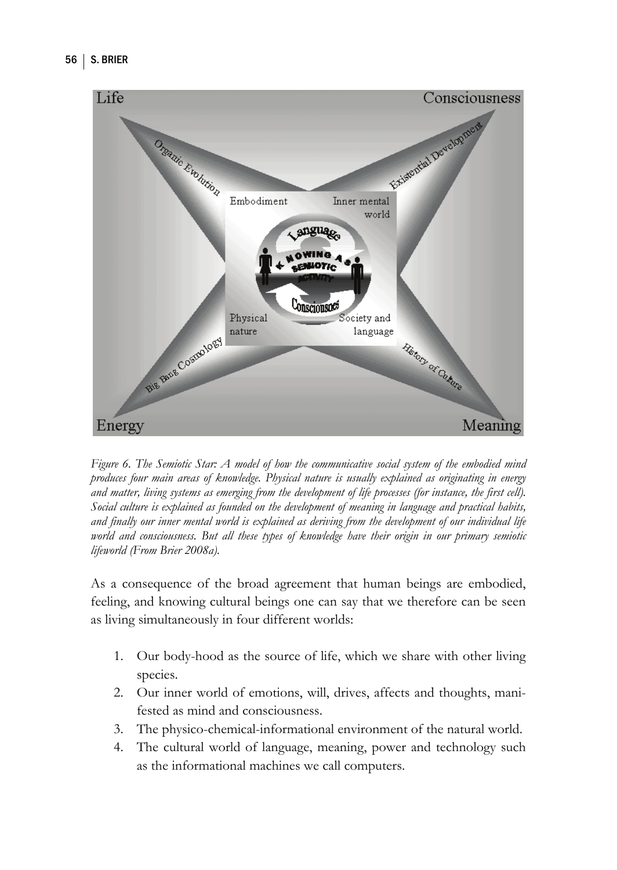

*Figure 6. The Semiotic Star: A model of how the communicative social system of the embodied mind produces four main areas of knowledge. Physical nature is usually explained as originating in energy and matter, living systems as emerging from the development of life processes (for instance, the first cell). Social culture is explained as founded on the development of meaning in language and practical habits, and finally our inner mental world is explained as deriving from the development of our individual life world and consciousness. But all these types of knowledge have their origin in our primary semiotic lifeworld (From Brier 2008a).* 

As a consequence of the broad agreement that human beings are embodied, feeling, and knowing cultural beings one can say that we therefore can be seen as living simultaneously in four different worlds:

- 1. Our body-hood as the source of life, which we share with other living species.
- 2. Our inner world of emotions, will, drives, affects and thoughts, manifested as mind and consciousness.
- 3. The physico-chemical-informational environment of the natural world.
- 4. The cultural world of language, meaning, power and technology such as the informational machines we call computers.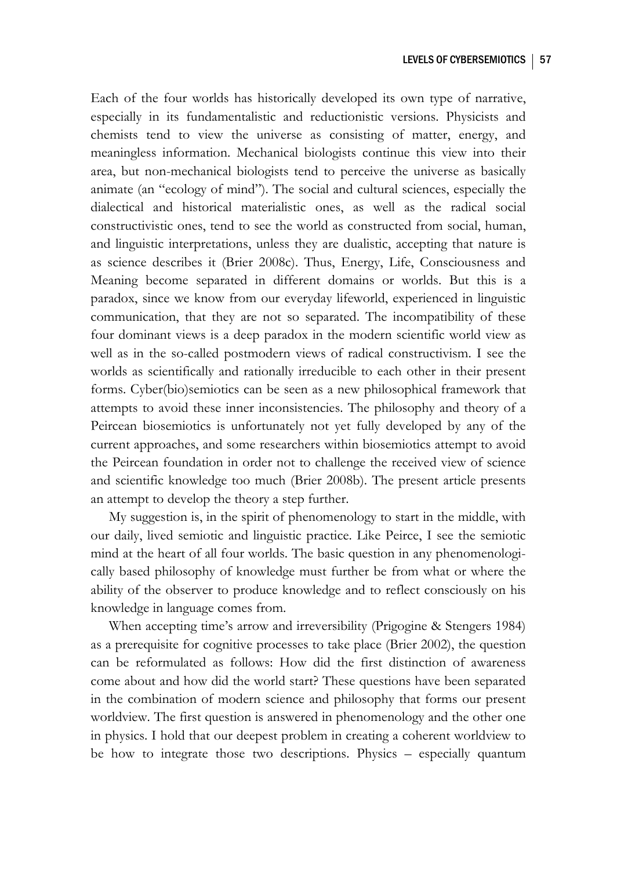Each of the four worlds has historically developed its own type of narrative, especially in its fundamentalistic and reductionistic versions. Physicists and chemists tend to view the universe as consisting of matter, energy, and meaningless information. Mechanical biologists continue this view into their area, but non-mechanical biologists tend to perceive the universe as basically animate (an "ecology of mind"). The social and cultural sciences, especially the dialectical and historical materialistic ones, as well as the radical social constructivistic ones, tend to see the world as constructed from social, human, and linguistic interpretations, unless they are dualistic, accepting that nature is as science describes it (Brier 2008c). Thus, Energy, Life, Consciousness and Meaning become separated in different domains or worlds. But this is a paradox, since we know from our everyday lifeworld, experienced in linguistic communication, that they are not so separated. The incompatibility of these four dominant views is a deep paradox in the modern scientific world view as well as in the so-called postmodern views of radical constructivism. I see the worlds as scientifically and rationally irreducible to each other in their present forms. Cyber(bio)semiotics can be seen as a new philosophical framework that attempts to avoid these inner inconsistencies. The philosophy and theory of a Peircean biosemiotics is unfortunately not yet fully developed by any of the current approaches, and some researchers within biosemiotics attempt to avoid the Peircean foundation in order not to challenge the received view of science and scientific knowledge too much (Brier 2008b). The present article presents an attempt to develop the theory a step further.

My suggestion is, in the spirit of phenomenology to start in the middle, with our daily, lived semiotic and linguistic practice. Like Peirce, I see the semiotic mind at the heart of all four worlds. The basic question in any phenomenologically based philosophy of knowledge must further be from what or where the ability of the observer to produce knowledge and to reflect consciously on his knowledge in language comes from.

When accepting time's arrow and irreversibility (Prigogine & Stengers 1984) as a prerequisite for cognitive processes to take place (Brier 2002), the question can be reformulated as follows: How did the first distinction of awareness come about and how did the world start? These questions have been separated in the combination of modern science and philosophy that forms our present worldview. The first question is answered in phenomenology and the other one in physics. I hold that our deepest problem in creating a coherent worldview to be how to integrate those two descriptions. Physics – especially quantum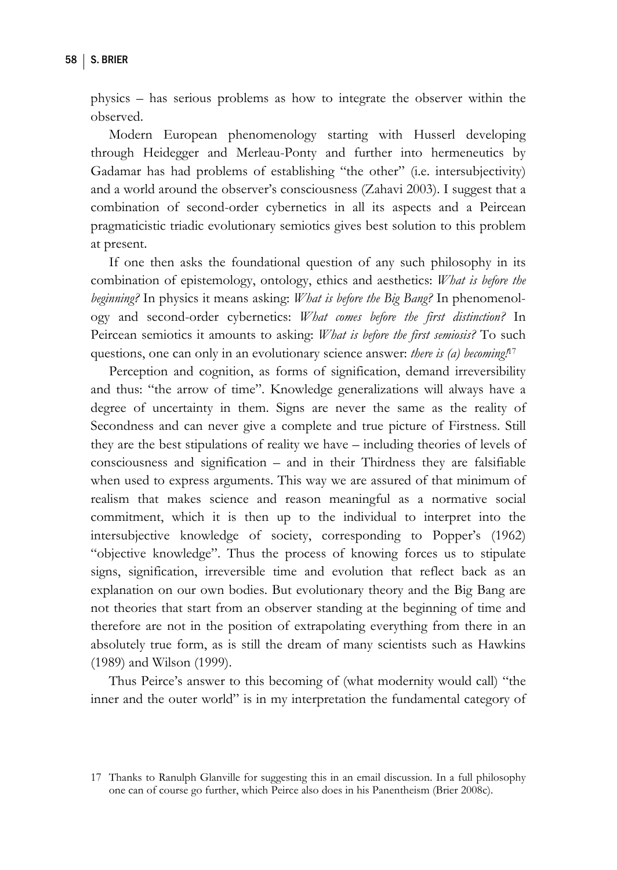physics – has serious problems as how to integrate the observer within the observed.

Modern European phenomenology starting with Husserl developing through Heidegger and Merleau-Ponty and further into hermeneutics by Gadamar has had problems of establishing "the other" (i.e. intersubjectivity) and a world around the observer's consciousness (Zahavi 2003). I suggest that a combination of second-order cybernetics in all its aspects and a Peircean pragmaticistic triadic evolutionary semiotics gives best solution to this problem at present.

If one then asks the foundational question of any such philosophy in its combination of epistemology, ontology, ethics and aesthetics: *What is before the beginning?* In physics it means asking: *What is before the Big Bang?* In phenomenology and second-order cybernetics: *What comes before the first distinction?* In Peircean semiotics it amounts to asking: *What is before the first semiosis?* To such questions, one can only in an evolutionary science answer: *there is (a) becoming!*<sup>17</sup>

Perception and cognition, as forms of signification, demand irreversibility and thus: "the arrow of time". Knowledge generalizations will always have a degree of uncertainty in them. Signs are never the same as the reality of Secondness and can never give a complete and true picture of Firstness. Still they are the best stipulations of reality we have – including theories of levels of consciousness and signification – and in their Thirdness they are falsifiable when used to express arguments. This way we are assured of that minimum of realism that makes science and reason meaningful as a normative social commitment, which it is then up to the individual to interpret into the intersubjective knowledge of society, corresponding to Popper's (1962) "objective knowledge". Thus the process of knowing forces us to stipulate signs, signification, irreversible time and evolution that reflect back as an explanation on our own bodies. But evolutionary theory and the Big Bang are not theories that start from an observer standing at the beginning of time and therefore are not in the position of extrapolating everything from there in an absolutely true form, as is still the dream of many scientists such as Hawkins (1989) and Wilson (1999).

Thus Peirce's answer to this becoming of (what modernity would call) "the inner and the outer world" is in my interpretation the fundamental category of

<sup>17</sup> Thanks to Ranulph Glanville for suggesting this in an email discussion. In a full philosophy one can of course go further, which Peirce also does in his Panentheism (Brier 2008c).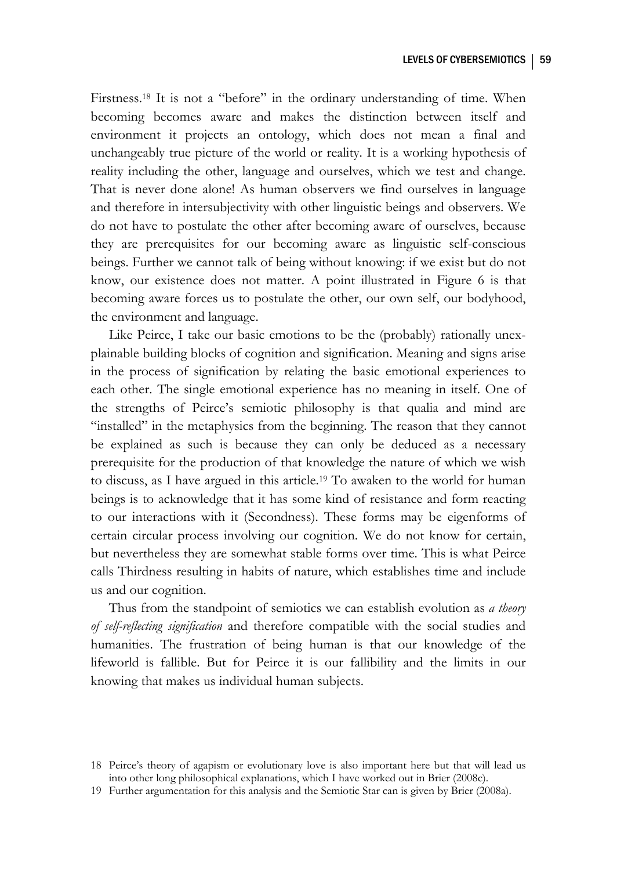Firstness.<sup>18</sup> It is not a "before" in the ordinary understanding of time. When becoming becomes aware and makes the distinction between itself and environment it projects an ontology, which does not mean a final and unchangeably true picture of the world or reality. It is a working hypothesis of reality including the other, language and ourselves, which we test and change. That is never done alone! As human observers we find ourselves in language and therefore in intersubjectivity with other linguistic beings and observers. We do not have to postulate the other after becoming aware of ourselves, because they are prerequisites for our becoming aware as linguistic self-conscious beings. Further we cannot talk of being without knowing: if we exist but do not know, our existence does not matter. A point illustrated in Figure 6 is that becoming aware forces us to postulate the other, our own self, our bodyhood, the environment and language.

Like Peirce, I take our basic emotions to be the (probably) rationally unexplainable building blocks of cognition and signification. Meaning and signs arise in the process of signification by relating the basic emotional experiences to each other. The single emotional experience has no meaning in itself. One of the strengths of Peirce's semiotic philosophy is that qualia and mind are "installed" in the metaphysics from the beginning. The reason that they cannot be explained as such is because they can only be deduced as a necessary prerequisite for the production of that knowledge the nature of which we wish to discuss, as I have argued in this article.19 To awaken to the world for human beings is to acknowledge that it has some kind of resistance and form reacting to our interactions with it (Secondness). These forms may be eigenforms of certain circular process involving our cognition. We do not know for certain, but nevertheless they are somewhat stable forms over time. This is what Peirce calls Thirdness resulting in habits of nature, which establishes time and include us and our cognition.

Thus from the standpoint of semiotics we can establish evolution as *a theory of self-reflecting signification* and therefore compatible with the social studies and humanities. The frustration of being human is that our knowledge of the lifeworld is fallible. But for Peirce it is our fallibility and the limits in our knowing that makes us individual human subjects.

<sup>18</sup> Peirce's theory of agapism or evolutionary love is also important here but that will lead us into other long philosophical explanations, which I have worked out in Brier (2008c).

<sup>19</sup> Further argumentation for this analysis and the Semiotic Star can is given by Brier (2008a).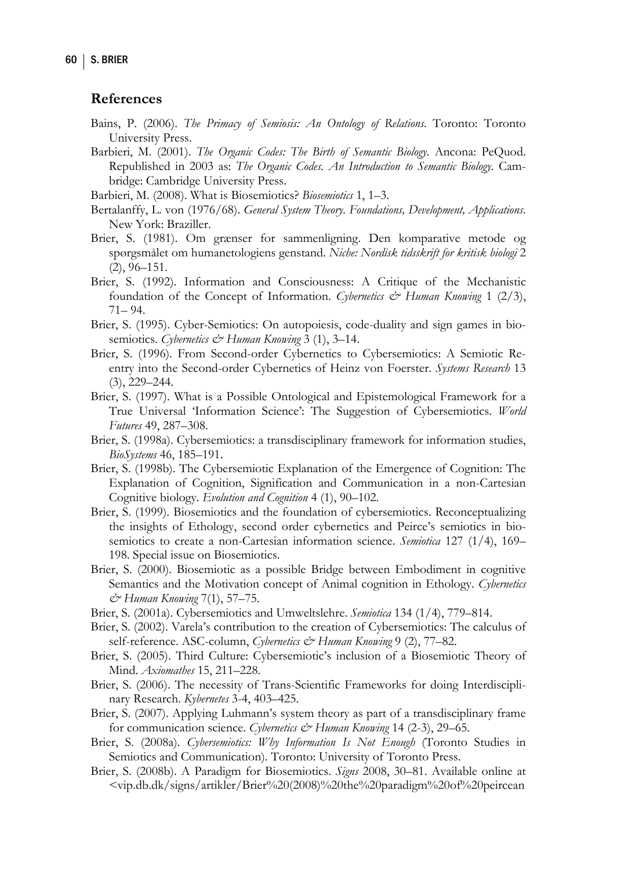#### **References**

- Bains, P. (2006). *The Primacy of Semiosis: An Ontology of Relations*. Toronto: Toronto University Press.
- Barbieri, M. (2001). *The Organic Codes: The Birth of Semantic Biology*. Ancona: PeQuod. Republished in 2003 as: *The Organic Codes. An Introduction to Semantic Biology*. Cambridge: Cambridge University Press.
- Barbieri, M. (2008). What is Biosemiotics? *Biosemiotics* 1, 1–3.
- Bertalanffy, L. von (1976/68). *General System Theory*. *Foundations, Development, Applications*. New York: Braziller.
- Brier, S. (1981). Om grænser for sammenligning. Den komparative metode og spørgsmålet om humanetologiens genstand. *Niche: Nordisk tidsskrift for kritisk biologi* 2 (2), 96–151.
- Brier, S. (1992). Information and Consciousness: A Critique of the Mechanistic foundation of the Concept of Information. *Cybernetics & Human Knowing* 1 (2/3), 71– 94.
- Brier, S. (1995). Cyber-Semiotics: On autopoiesis, code-duality and sign games in biosemiotics. *Cybernetics* & Human Knowing 3 (1), 3-14.
- Brier, S. (1996). From Second-order Cybernetics to Cybersemiotics: A Semiotic Reentry into the Second-order Cybernetics of Heinz von Foerster. *Systems Research* 13 (3), 229–244.
- Brier, S. (1997). What is a Possible Ontological and Epistemological Framework for a True Universal 'Information Science': The Suggestion of Cybersemiotics. *World Futures* 49, 287–308.
- Brier, S. (1998a). Cybersemiotics: a transdisciplinary framework for information studies, *BioSystems* 46, 185–191.
- Brier, S. (1998b). The Cybersemiotic Explanation of the Emergence of Cognition: The Explanation of Cognition, Signification and Communication in a non-Cartesian Cognitive biology. *Evolution and Cognition* 4 (1), 90–102.
- Brier, S. (1999). Biosemiotics and the foundation of cybersemiotics. Reconceptualizing the insights of Ethology, second order cybernetics and Peirce's semiotics in biosemiotics to create a non-Cartesian information science. *Semiotica* 127 (1/4), 169– 198. Special issue on Biosemiotics.
- Brier, S. (2000). Biosemiotic as a possible Bridge between Embodiment in cognitive Semantics and the Motivation concept of Animal cognition in Ethology. *Cybernetics & Human Knowing* 7(1), 57–75.
- Brier, S. (2001a). Cybersemiotics and Umweltslehre. *Semiotica* 134 (1/4), 779–814.
- Brier, S. (2002). Varela's contribution to the creation of Cybersemiotics: The calculus of self-reference. ASC-column, *Cybernetics & Human Knowing* 9 (2), 77–82.
- Brier, S. (2005). Third Culture: Cybersemiotic's inclusion of a Biosemiotic Theory of Mind. *Axiomathes* 15, 211–228.
- Brier, S. (2006). The necessity of Trans-Scientific Frameworks for doing Interdisciplinary Research. *Kybernetes* 3-4, 403–425.
- Brier, S. (2007). Applying Luhmann's system theory as part of a transdisciplinary frame for communication science. *Cybernetics & Human Knowing* 14 (2-3), 29–65.
- Brier, S. (2008a). *Cybersemiotics: Why Information Is Not Enough* (Toronto Studies in Semiotics and Communication). Toronto: University of Toronto Press.
- Brier, S. (2008b). A Paradigm for Biosemiotics. *Signs* 2008, 30–81. Available online at <vip.db.dk/signs/artikler/Brier%20(2008)%20the%20paradigm%20of%20peircean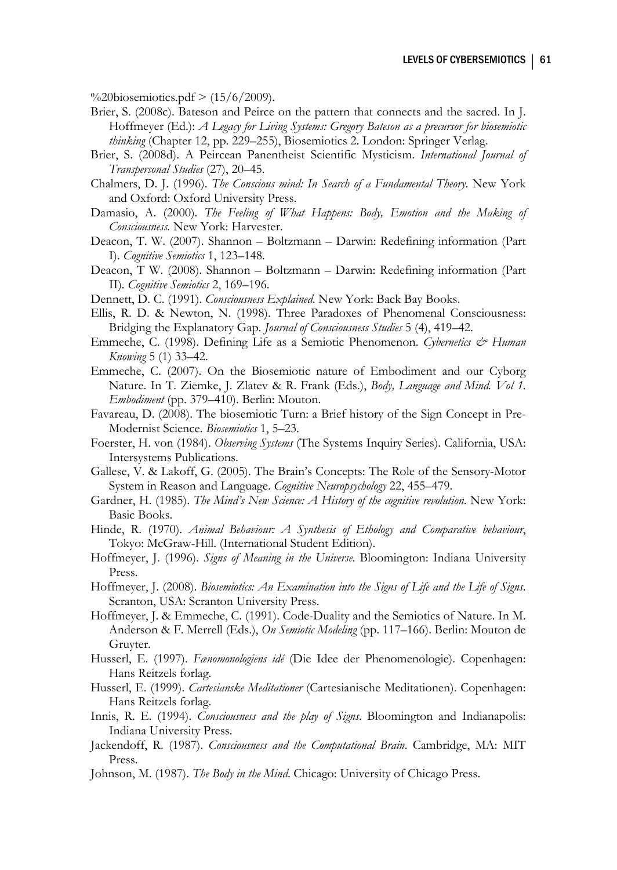%20biosemiotics.pdf  $>$  (15/6/2009).

- Brier, S. (2008c). Bateson and Peirce on the pattern that connects and the sacred. In J. Hoffmeyer (Ed.): *A Legacy for Living Systems: Gregory Bateson as a precursor for biosemiotic thinking* (Chapter 12, pp. 229–255), Biosemiotics 2. London: Springer Verlag.
- Brier, S. (2008d). A Peircean Panentheist Scientific Mysticism. *International Journal of Transpersonal Studies* (27), 20–45.
- Chalmers, D. J. (1996). *The Conscious mind: In Search of a Fundamental Theory*. New York and Oxford: Oxford University Press.
- Damasio, A. (2000). *The Feeling of What Happens: Body, Emotion and the Making of Consciousness.* New York: Harvester.
- Deacon, T. W. (2007). Shannon Boltzmann Darwin: Redefining information (Part I). *Cognitive Semiotics* 1, 123–148.
- Deacon, T W. (2008). Shannon Boltzmann Darwin: Redefining information (Part II). *Cognitive Semiotics* 2, 169–196.
- Dennett, D. C. (1991). *Consciousness Explained*. New York: Back Bay Books.
- Ellis, R. D. & Newton, N. (1998). Three Paradoxes of Phenomenal Consciousness: Bridging the Explanatory Gap. *Journal of Consciousness Studies* 5 (4), 419–42.
- Emmeche, C. (1998). Defining Life as a Semiotic Phenomenon. *Cybernetics & Human Knowing* 5 (1) 33–42.
- Emmeche, C. (2007). On the Biosemiotic nature of Embodiment and our Cyborg Nature. In T. Ziemke, J. Zlatev & R. Frank (Eds.), *Body, Language and Mind. Vol 1. Embodiment* (pp. 379–410). Berlin: Mouton.
- Favareau, D. (2008). The biosemiotic Turn: a Brief history of the Sign Concept in Pre-Modernist Science. *Biosemiotics* 1, 5–23.
- Foerster, H. von (1984). *Observing Systems* (The Systems Inquiry Series). California, USA: Intersystems Publications.
- Gallese, V. & Lakoff, G. (2005). The Brain's Concepts: The Role of the Sensory-Motor System in Reason and Language. *Cognitive Neuropsychology* 22, 455–479.
- Gardner, H. (1985). *The Mind's New Science: A History of the cognitive revolution*. New York: Basic Books.
- Hinde, R. (1970). *Animal Behaviour: A Synthesis of Ethology and Comparative behaviour*, Tokyo: McGraw-Hill. (International Student Edition).
- Hoffmeyer, J. (1996). *Signs of Meaning in the Universe*. Bloomington: Indiana University Press.
- Hoffmeyer, J. (2008). *Biosemiotics: An Examination into the Signs of Life and the Life of Signs*. Scranton, USA: Scranton University Press.
- Hoffmeyer, J. & Emmeche, C. (1991). Code-Duality and the Semiotics of Nature. In M. Anderson & F. Merrell (Eds.), *On Semiotic Modeling* (pp. 117–166). Berlin: Mouton de Gruyter.
- Husserl, E. (1997). *Fænomonologiens idé* (Die Idee der Phenomenologie). Copenhagen: Hans Reitzels forlag.
- Husserl, E. (1999). *Cartesianske Meditationer* (Cartesianische Meditationen). Copenhagen: Hans Reitzels forlag.
- Innis, R. E. (1994). *Consciousness and the play of Signs*. Bloomington and Indianapolis: Indiana University Press.
- Jackendoff, R. (1987). *Consciousness and the Computational Brain*. Cambridge, MA: MIT Press.
- Johnson, M. (1987). *The Body in the Mind*. Chicago: University of Chicago Press.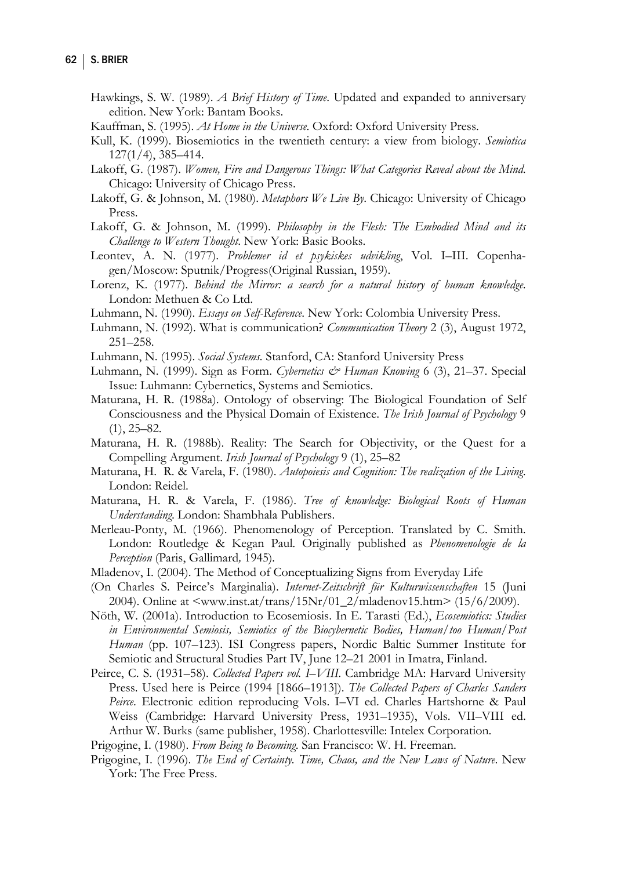- Hawkings, S. W. (1989). *A Brief History of Time*. Updated and expanded to anniversary edition. New York: Bantam Books.
- Kauffman, S. (1995). *At Home in the Universe*. Oxford: Oxford University Press.
- Kull, K. (1999). Biosemiotics in the twentieth century: a view from biology. *Semiotica*  $127(1/4)$ , 385–414.
- Lakoff, G. (1987). *Women, Fire and Dangerous Things: What Categories Reveal about the Mind*. Chicago: University of Chicago Press.
- Lakoff, G. & Johnson, M. (1980). *Metaphors We Live By*. Chicago: University of Chicago Press.
- Lakoff, G. & Johnson, M. (1999). *Philosophy in the Flesh: The Embodied Mind and its Challenge to Western Thought*. New York: Basic Books.
- Leontev, A. N. (1977). *Problemer id et psykiskes udvikling*, Vol. I–III. Copenhagen/Moscow: Sputnik/Progress(Original Russian, 1959).
- Lorenz, K. (1977). *Behind the Mirror: a search for a natural history of human knowledge*. London: Methuen & Co Ltd.
- Luhmann, N. (1990). *Essays on Self-Reference*. New York: Colombia University Press.
- Luhmann, N. (1992). What is communication? *Communication Theory* 2 (3), August 1972, 251–258.
- Luhmann, N. (1995). *Social Systems.* Stanford, CA: Stanford University Press
- Luhmann, N. (1999). Sign as Form. *Cybernetics & Human Knowing* 6 (3), 21–37. Special Issue: Luhmann: Cybernetics, Systems and Semiotics.
- Maturana, H. R. (1988a). Ontology of observing: The Biological Foundation of Self Consciousness and the Physical Domain of Existence. *The Irish Journal of Psychology* 9  $(1), 25-82.$
- Maturana, H. R. (1988b). Reality: The Search for Objectivity, or the Quest for a Compelling Argument. *Irish Journal of Psychology* 9 (1), 25–82
- Maturana, H. R. & Varela, F. (1980). *Autopoiesis and Cognition: The realization of the Living*. London: Reidel.
- Maturana, H. R. & Varela, F. (1986). *Tree of knowledge: Biological Roots of Human Understanding*. London: Shambhala Publishers.
- Merleau-Ponty, M. (1966). Phenomenology of Perception. Translated by C. Smith. London: Routledge & Kegan Paul. Originally published as *Phenomenologie de la Perception* (Paris, Gallimard*,* 1945)*.*
- Mladenov, I. (2004). The Method of Conceptualizing Signs from Everyday Life
- (On Charles S. Peirce's Marginalia). *Internet-Zeitschrift für Kulturwissenschaften* 15 (Juni 2004). Online at <www.inst.at/trans/15Nr/01\_2/mladenov15.htm> (15/6/2009).
- Nöth, W*.* (2001a). Introduction to Ecosemiosis. In E. Tarasti (Ed.), *Ecosemiotics: Studies in Environmental Semiosis, Semiotics of the Biocybernetic Bodies, Human/too Human/Post Human* (pp. 107–123). ISI Congress papers, Nordic Baltic Summer Institute for Semiotic and Structural Studies Part IV, June 12–21 2001 in Imatra, Finland.
- Peirce, C. S. (1931–58). *Collected Papers vol. I–VIII.* Cambridge MA: Harvard University Press. Used here is Peirce (1994 [1866–1913]). *The Collected Papers of Charles Sanders Peirce*. Electronic edition reproducing Vols. I–VI ed. Charles Hartshorne & Paul Weiss (Cambridge: Harvard University Press, 1931–1935), Vols. VII–VIII ed. Arthur W. Burks (same publisher, 1958). Charlottesville: Intelex Corporation.
- Prigogine, I. (1980). *From Being to Becoming*. San Francisco: W. H. Freeman.
- Prigogine, I. (1996). *The End of Certainty. Time, Chaos, and the New Laws of Nature*. New York: The Free Press.